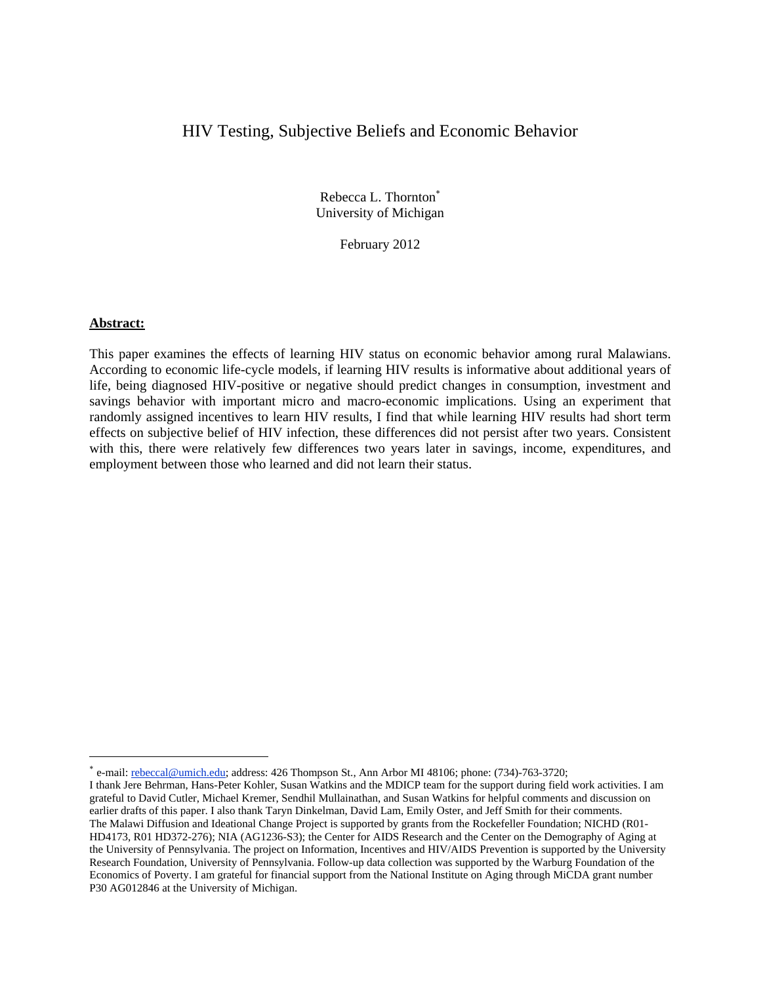# HIV Testing, Subjective Beliefs and Economic Behavior

Rebecca L. Thornton University of Michigan

February 2012

#### **Abstract:**

 $\overline{a}$ 

This paper examines the effects of learning HIV status on economic behavior among rural Malawians. According to economic life-cycle models, if learning HIV results is informative about additional years of life, being diagnosed HIV-positive or negative should predict changes in consumption, investment and savings behavior with important micro and macro-economic implications. Using an experiment that randomly assigned incentives to learn HIV results, I find that while learning HIV results had short term effects on subjective belief of HIV infection, these differences did not persist after two years. Consistent with this, there were relatively few differences two years later in savings, income, expenditures, and employment between those who learned and did not learn their status.

e-mail: rebeccal@umich.edu; address: 426 Thompson St., Ann Arbor MI 48106; phone: (734)-763-3720;

I thank Jere Behrman, Hans-Peter Kohler, Susan Watkins and the MDICP team for the support during field work activities. I am grateful to David Cutler, Michael Kremer, Sendhil Mullainathan, and Susan Watkins for helpful comments and discussion on earlier drafts of this paper. I also thank Taryn Dinkelman, David Lam, Emily Oster, and Jeff Smith for their comments. The Malawi Diffusion and Ideational Change Project is supported by grants from the Rockefeller Foundation; NICHD (R01- HD4173, R01 HD372-276); NIA (AG1236-S3); the Center for AIDS Research and the Center on the Demography of Aging at the University of Pennsylvania. The project on Information, Incentives and HIV/AIDS Prevention is supported by the University Research Foundation, University of Pennsylvania. Follow-up data collection was supported by the Warburg Foundation of the Economics of Poverty. I am grateful for financial support from the National Institute on Aging through MiCDA grant number P30 AG012846 at the University of Michigan.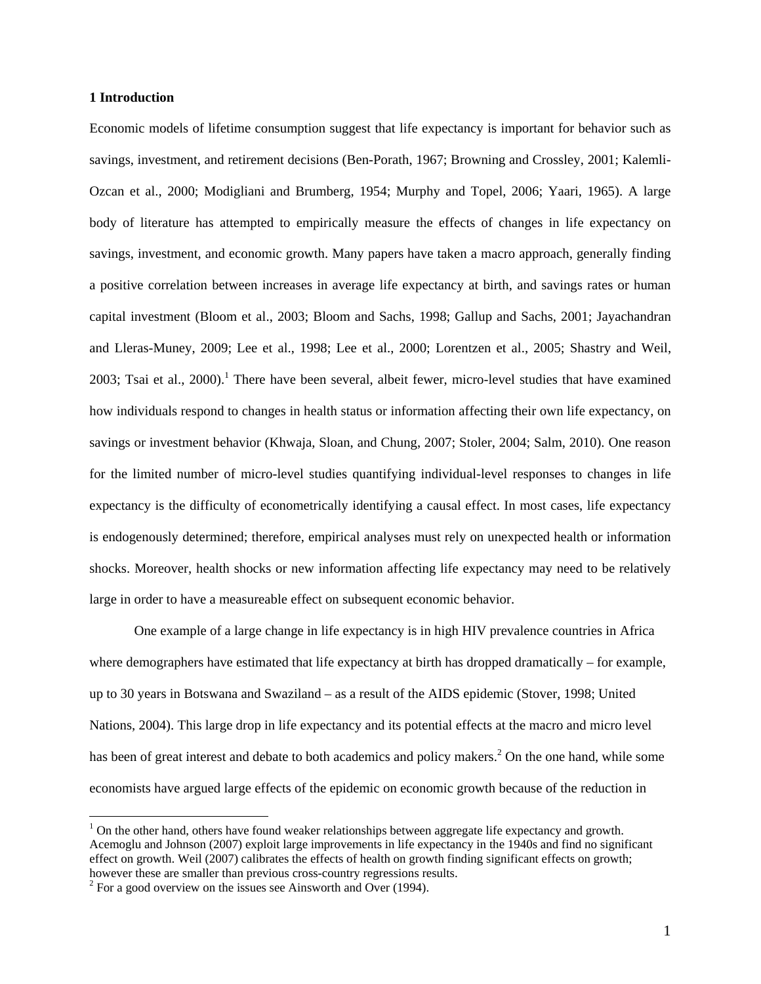#### **1 Introduction**

Economic models of lifetime consumption suggest that life expectancy is important for behavior such as savings, investment, and retirement decisions (Ben-Porath, 1967; Browning and Crossley, 2001; Kalemli-Ozcan et al., 2000; Modigliani and Brumberg, 1954; Murphy and Topel, 2006; Yaari, 1965). A large body of literature has attempted to empirically measure the effects of changes in life expectancy on savings, investment, and economic growth. Many papers have taken a macro approach, generally finding a positive correlation between increases in average life expectancy at birth, and savings rates or human capital investment (Bloom et al., 2003; Bloom and Sachs, 1998; Gallup and Sachs, 2001; Jayachandran and Lleras-Muney, 2009; Lee et al., 1998; Lee et al., 2000; Lorentzen et al., 2005; Shastry and Weil, 2003; Tsai et al., 2000).<sup>1</sup> There have been several, albeit fewer, micro-level studies that have examined how individuals respond to changes in health status or information affecting their own life expectancy, on savings or investment behavior (Khwaja, Sloan, and Chung, 2007; Stoler, 2004; Salm, 2010). One reason for the limited number of micro-level studies quantifying individual-level responses to changes in life expectancy is the difficulty of econometrically identifying a causal effect. In most cases, life expectancy is endogenously determined; therefore, empirical analyses must rely on unexpected health or information shocks. Moreover, health shocks or new information affecting life expectancy may need to be relatively large in order to have a measureable effect on subsequent economic behavior.

One example of a large change in life expectancy is in high HIV prevalence countries in Africa where demographers have estimated that life expectancy at birth has dropped dramatically – for example, up to 30 years in Botswana and Swaziland – as a result of the AIDS epidemic (Stover, 1998; United Nations, 2004). This large drop in life expectancy and its potential effects at the macro and micro level has been of great interest and debate to both academics and policy makers.<sup>2</sup> On the one hand, while some economists have argued large effects of the epidemic on economic growth because of the reduction in

 $1$  On the other hand, others have found weaker relationships between aggregate life expectancy and growth. Acemoglu and Johnson (2007) exploit large improvements in life expectancy in the 1940s and find no significant effect on growth. Weil (2007) calibrates the effects of health on growth finding significant effects on growth; however these are smaller than previous cross-country regressions results. 2

 $2^2$  For a good overview on the issues see Ainsworth and Over (1994).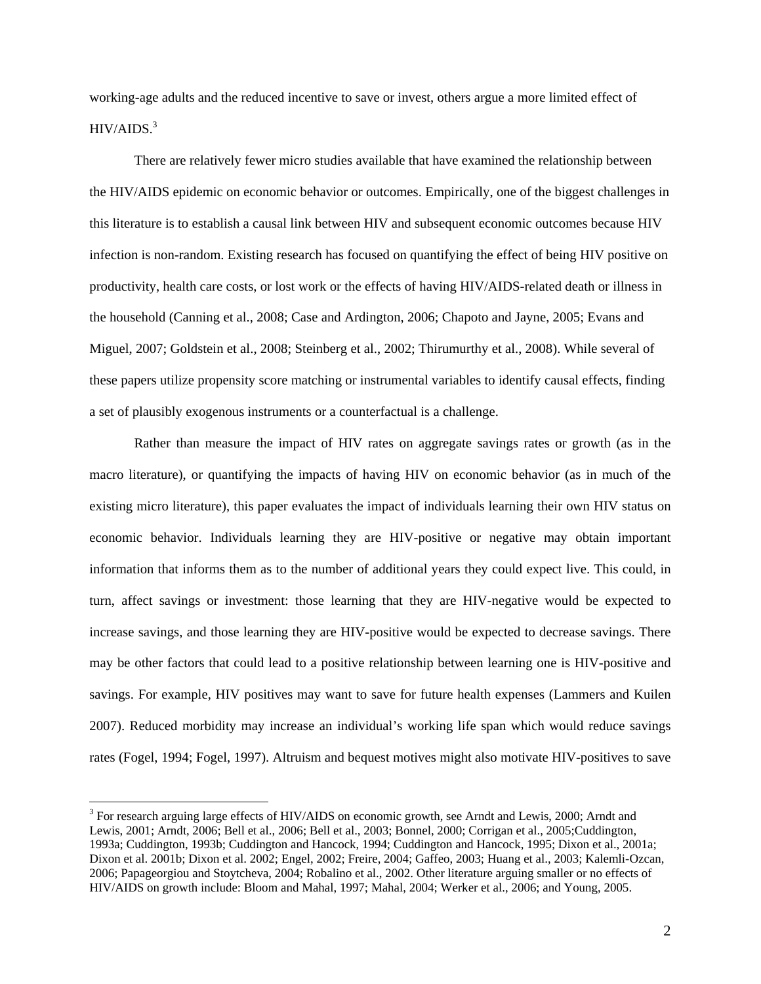working-age adults and the reduced incentive to save or invest, others argue a more limited effect of  $HIV/AIDS.<sup>3</sup>$ 

There are relatively fewer micro studies available that have examined the relationship between the HIV/AIDS epidemic on economic behavior or outcomes. Empirically, one of the biggest challenges in this literature is to establish a causal link between HIV and subsequent economic outcomes because HIV infection is non-random. Existing research has focused on quantifying the effect of being HIV positive on productivity, health care costs, or lost work or the effects of having HIV/AIDS-related death or illness in the household (Canning et al., 2008; Case and Ardington, 2006; Chapoto and Jayne, 2005; Evans and Miguel, 2007; Goldstein et al., 2008; Steinberg et al., 2002; Thirumurthy et al., 2008). While several of these papers utilize propensity score matching or instrumental variables to identify causal effects, finding a set of plausibly exogenous instruments or a counterfactual is a challenge.

 Rather than measure the impact of HIV rates on aggregate savings rates or growth (as in the macro literature), or quantifying the impacts of having HIV on economic behavior (as in much of the existing micro literature), this paper evaluates the impact of individuals learning their own HIV status on economic behavior. Individuals learning they are HIV-positive or negative may obtain important information that informs them as to the number of additional years they could expect live. This could, in turn, affect savings or investment: those learning that they are HIV-negative would be expected to increase savings, and those learning they are HIV-positive would be expected to decrease savings. There may be other factors that could lead to a positive relationship between learning one is HIV-positive and savings. For example, HIV positives may want to save for future health expenses (Lammers and Kuilen 2007). Reduced morbidity may increase an individual's working life span which would reduce savings rates (Fogel, 1994; Fogel, 1997). Altruism and bequest motives might also motivate HIV-positives to save

<sup>&</sup>lt;sup>3</sup> For research arguing large effects of HIV/AIDS on economic growth, see Arndt and Lewis, 2000; Arndt and Lewis, 2001; Arndt, 2006; Bell et al., 2006; Bell et al., 2003; Bonnel, 2000; Corrigan et al., 2005;Cuddington, 1993a; Cuddington, 1993b; Cuddington and Hancock, 1994; Cuddington and Hancock, 1995; Dixon et al., 2001a; Dixon et al. 2001b; Dixon et al. 2002; Engel, 2002; Freire, 2004; Gaffeo, 2003; Huang et al., 2003; Kalemli-Ozcan, 2006; Papageorgiou and Stoytcheva, 2004; Robalino et al., 2002. Other literature arguing smaller or no effects of HIV/AIDS on growth include: Bloom and Mahal, 1997; Mahal, 2004; Werker et al., 2006; and Young, 2005.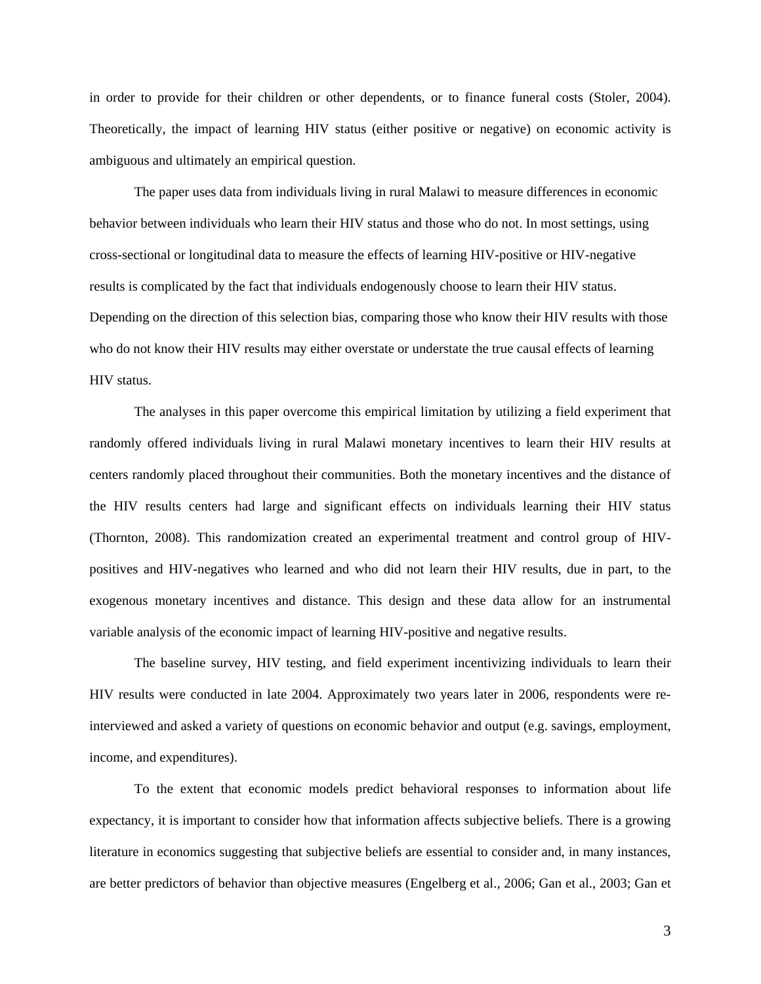in order to provide for their children or other dependents, or to finance funeral costs (Stoler, 2004). Theoretically, the impact of learning HIV status (either positive or negative) on economic activity is ambiguous and ultimately an empirical question.

 The paper uses data from individuals living in rural Malawi to measure differences in economic behavior between individuals who learn their HIV status and those who do not. In most settings, using cross-sectional or longitudinal data to measure the effects of learning HIV-positive or HIV-negative results is complicated by the fact that individuals endogenously choose to learn their HIV status. Depending on the direction of this selection bias, comparing those who know their HIV results with those who do not know their HIV results may either overstate or understate the true causal effects of learning HIV status.

The analyses in this paper overcome this empirical limitation by utilizing a field experiment that randomly offered individuals living in rural Malawi monetary incentives to learn their HIV results at centers randomly placed throughout their communities. Both the monetary incentives and the distance of the HIV results centers had large and significant effects on individuals learning their HIV status (Thornton, 2008). This randomization created an experimental treatment and control group of HIVpositives and HIV-negatives who learned and who did not learn their HIV results, due in part, to the exogenous monetary incentives and distance. This design and these data allow for an instrumental variable analysis of the economic impact of learning HIV-positive and negative results.

The baseline survey, HIV testing, and field experiment incentivizing individuals to learn their HIV results were conducted in late 2004. Approximately two years later in 2006, respondents were reinterviewed and asked a variety of questions on economic behavior and output (e.g. savings, employment, income, and expenditures).

To the extent that economic models predict behavioral responses to information about life expectancy, it is important to consider how that information affects subjective beliefs. There is a growing literature in economics suggesting that subjective beliefs are essential to consider and, in many instances, are better predictors of behavior than objective measures (Engelberg et al., 2006; Gan et al., 2003; Gan et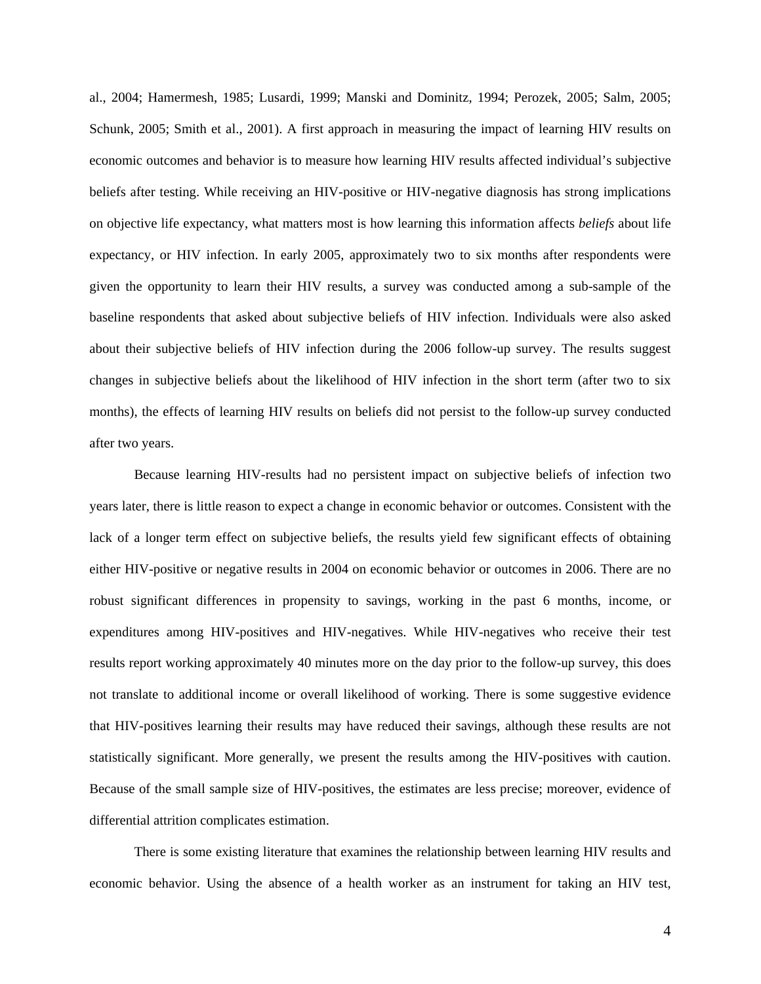al., 2004; Hamermesh, 1985; Lusardi, 1999; Manski and Dominitz, 1994; Perozek, 2005; Salm, 2005; Schunk, 2005; Smith et al., 2001). A first approach in measuring the impact of learning HIV results on economic outcomes and behavior is to measure how learning HIV results affected individual's subjective beliefs after testing. While receiving an HIV-positive or HIV-negative diagnosis has strong implications on objective life expectancy, what matters most is how learning this information affects *beliefs* about life expectancy, or HIV infection. In early 2005, approximately two to six months after respondents were given the opportunity to learn their HIV results, a survey was conducted among a sub-sample of the baseline respondents that asked about subjective beliefs of HIV infection. Individuals were also asked about their subjective beliefs of HIV infection during the 2006 follow-up survey. The results suggest changes in subjective beliefs about the likelihood of HIV infection in the short term (after two to six months), the effects of learning HIV results on beliefs did not persist to the follow-up survey conducted after two years.

Because learning HIV-results had no persistent impact on subjective beliefs of infection two years later, there is little reason to expect a change in economic behavior or outcomes. Consistent with the lack of a longer term effect on subjective beliefs, the results yield few significant effects of obtaining either HIV-positive or negative results in 2004 on economic behavior or outcomes in 2006. There are no robust significant differences in propensity to savings, working in the past 6 months, income, or expenditures among HIV-positives and HIV-negatives. While HIV-negatives who receive their test results report working approximately 40 minutes more on the day prior to the follow-up survey, this does not translate to additional income or overall likelihood of working. There is some suggestive evidence that HIV-positives learning their results may have reduced their savings, although these results are not statistically significant. More generally, we present the results among the HIV-positives with caution. Because of the small sample size of HIV-positives, the estimates are less precise; moreover, evidence of differential attrition complicates estimation.

There is some existing literature that examines the relationship between learning HIV results and economic behavior. Using the absence of a health worker as an instrument for taking an HIV test,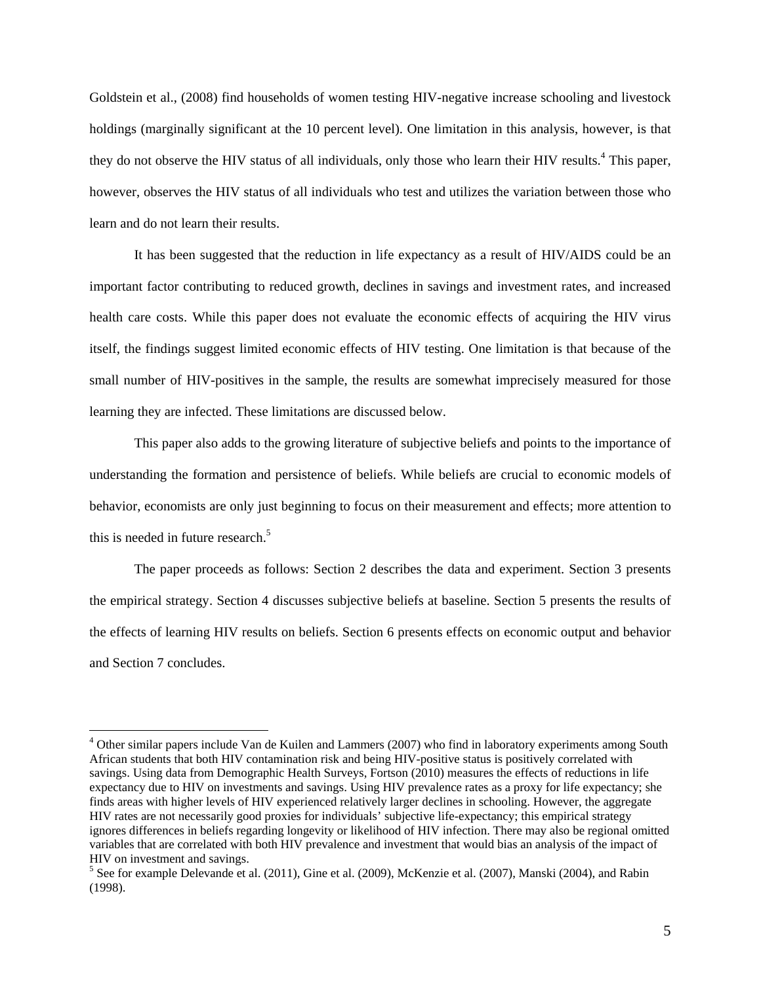Goldstein et al., (2008) find households of women testing HIV-negative increase schooling and livestock holdings (marginally significant at the 10 percent level). One limitation in this analysis, however, is that they do not observe the HIV status of all individuals, only those who learn their HIV results.<sup>4</sup> This paper, however, observes the HIV status of all individuals who test and utilizes the variation between those who learn and do not learn their results.

 It has been suggested that the reduction in life expectancy as a result of HIV/AIDS could be an important factor contributing to reduced growth, declines in savings and investment rates, and increased health care costs. While this paper does not evaluate the economic effects of acquiring the HIV virus itself, the findings suggest limited economic effects of HIV testing. One limitation is that because of the small number of HIV-positives in the sample, the results are somewhat imprecisely measured for those learning they are infected. These limitations are discussed below.

 This paper also adds to the growing literature of subjective beliefs and points to the importance of understanding the formation and persistence of beliefs. While beliefs are crucial to economic models of behavior, economists are only just beginning to focus on their measurement and effects; more attention to this is needed in future research.<sup>5</sup>

The paper proceeds as follows: Section 2 describes the data and experiment. Section 3 presents the empirical strategy. Section 4 discusses subjective beliefs at baseline. Section 5 presents the results of the effects of learning HIV results on beliefs. Section 6 presents effects on economic output and behavior and Section 7 concludes.

<sup>&</sup>lt;sup>4</sup> Other similar papers include Van de Kuilen and Lammers (2007) who find in laboratory experiments among South African students that both HIV contamination risk and being HIV-positive status is positively correlated with savings. Using data from Demographic Health Surveys, Fortson (2010) measures the effects of reductions in life expectancy due to HIV on investments and savings. Using HIV prevalence rates as a proxy for life expectancy; she finds areas with higher levels of HIV experienced relatively larger declines in schooling. However, the aggregate HIV rates are not necessarily good proxies for individuals' subjective life-expectancy; this empirical strategy ignores differences in beliefs regarding longevity or likelihood of HIV infection. There may also be regional omitted variables that are correlated with both HIV prevalence and investment that would bias an analysis of the impact of HIV on investment and savings.

<sup>&</sup>lt;sup>5</sup> See for example Delevande et al. (2011), Gine et al. (2009), McKenzie et al. (2007), Manski (2004), and Rabin (1998).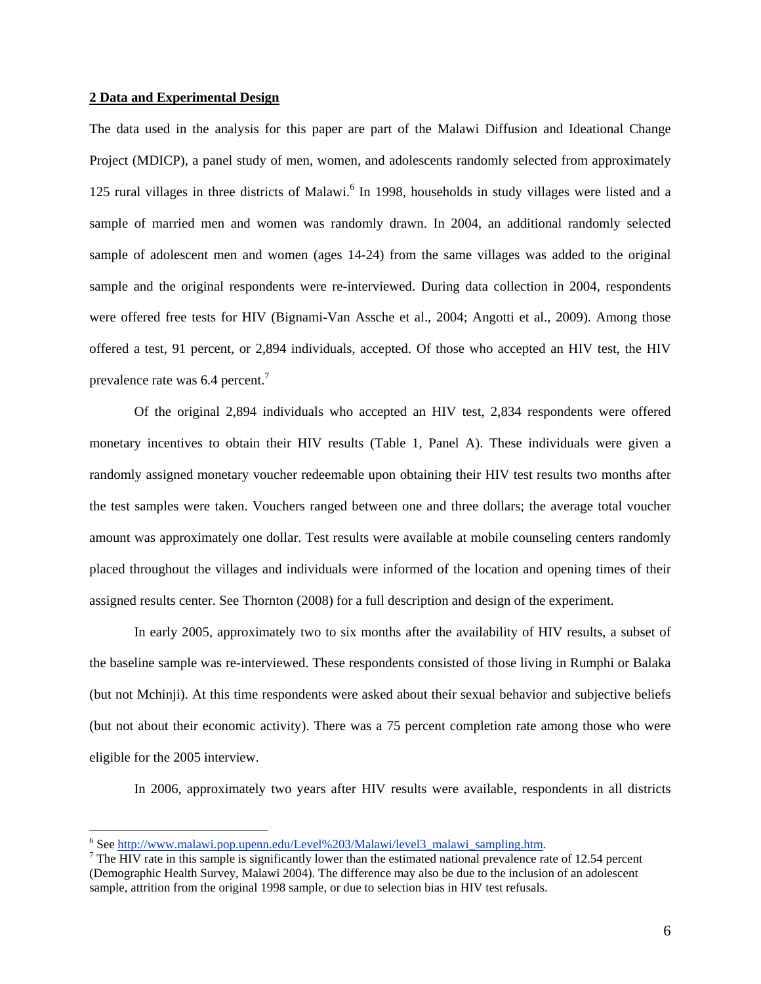#### **2 Data and Experimental Design**

The data used in the analysis for this paper are part of the Malawi Diffusion and Ideational Change Project (MDICP), a panel study of men, women, and adolescents randomly selected from approximately 125 rural villages in three districts of Malawi.<sup>6</sup> In 1998, households in study villages were listed and a sample of married men and women was randomly drawn. In 2004, an additional randomly selected sample of adolescent men and women (ages 14-24) from the same villages was added to the original sample and the original respondents were re-interviewed. During data collection in 2004, respondents were offered free tests for HIV (Bignami-Van Assche et al., 2004; Angotti et al., 2009). Among those offered a test, 91 percent, or 2,894 individuals, accepted. Of those who accepted an HIV test, the HIV prevalence rate was 6.4 percent.<sup>7</sup>

 Of the original 2,894 individuals who accepted an HIV test, 2,834 respondents were offered monetary incentives to obtain their HIV results (Table 1, Panel A). These individuals were given a randomly assigned monetary voucher redeemable upon obtaining their HIV test results two months after the test samples were taken. Vouchers ranged between one and three dollars; the average total voucher amount was approximately one dollar. Test results were available at mobile counseling centers randomly placed throughout the villages and individuals were informed of the location and opening times of their assigned results center. See Thornton (2008) for a full description and design of the experiment.

 In early 2005, approximately two to six months after the availability of HIV results, a subset of the baseline sample was re-interviewed. These respondents consisted of those living in Rumphi or Balaka (but not Mchinji). At this time respondents were asked about their sexual behavior and subjective beliefs (but not about their economic activity). There was a 75 percent completion rate among those who were eligible for the 2005 interview.

In 2006, approximately two years after HIV results were available, respondents in all districts

 $^6$  See http://www.malawi.pop.upenn.edu/Level%203/Malawi/level3\_malawi\_sampling.htm.  $^7$  The HIV rete in this sample is significantly lower than the estimated national provelance res

<sup>&</sup>lt;sup>7</sup> The HIV rate in this sample is significantly lower than the estimated national prevalence rate of 12.54 percent (Demographic Health Survey, Malawi 2004). The difference may also be due to the inclusion of an adolescent sample, attrition from the original 1998 sample, or due to selection bias in HIV test refusals.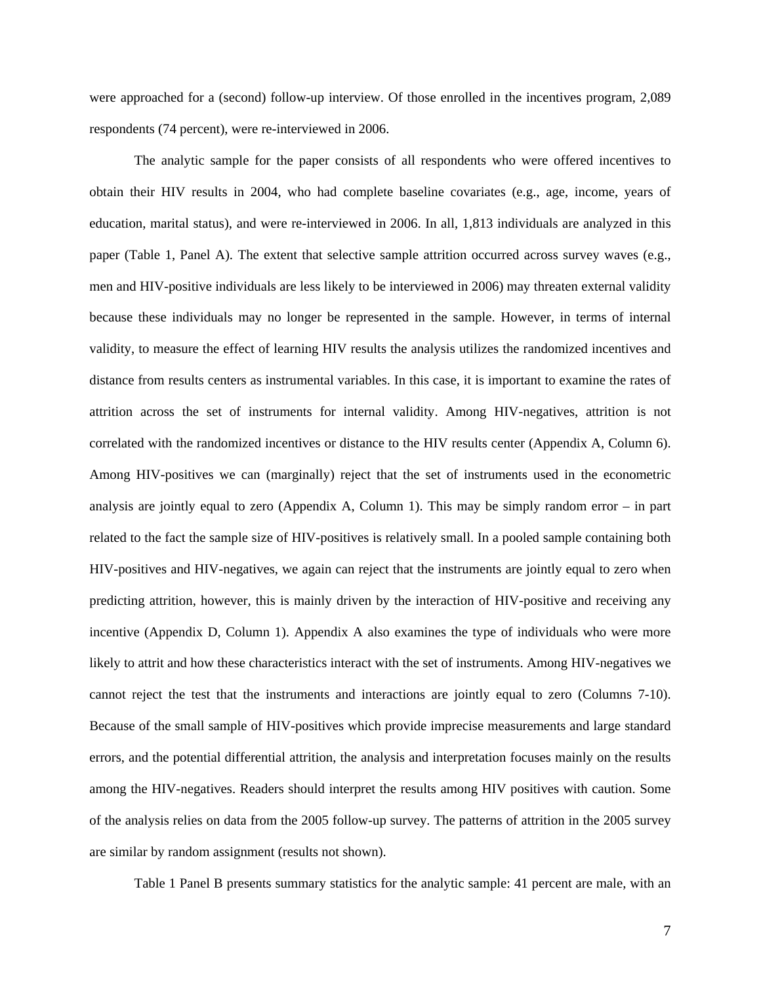were approached for a (second) follow-up interview. Of those enrolled in the incentives program, 2,089 respondents (74 percent), were re-interviewed in 2006.

 The analytic sample for the paper consists of all respondents who were offered incentives to obtain their HIV results in 2004, who had complete baseline covariates (e.g., age, income, years of education, marital status), and were re-interviewed in 2006. In all, 1,813 individuals are analyzed in this paper (Table 1, Panel A). The extent that selective sample attrition occurred across survey waves (e.g., men and HIV-positive individuals are less likely to be interviewed in 2006) may threaten external validity because these individuals may no longer be represented in the sample. However, in terms of internal validity, to measure the effect of learning HIV results the analysis utilizes the randomized incentives and distance from results centers as instrumental variables. In this case, it is important to examine the rates of attrition across the set of instruments for internal validity. Among HIV-negatives, attrition is not correlated with the randomized incentives or distance to the HIV results center (Appendix A, Column 6). Among HIV-positives we can (marginally) reject that the set of instruments used in the econometric analysis are jointly equal to zero (Appendix A, Column 1). This may be simply random error – in part related to the fact the sample size of HIV-positives is relatively small. In a pooled sample containing both HIV-positives and HIV-negatives, we again can reject that the instruments are jointly equal to zero when predicting attrition, however, this is mainly driven by the interaction of HIV-positive and receiving any incentive (Appendix D, Column 1). Appendix A also examines the type of individuals who were more likely to attrit and how these characteristics interact with the set of instruments. Among HIV-negatives we cannot reject the test that the instruments and interactions are jointly equal to zero (Columns 7-10). Because of the small sample of HIV-positives which provide imprecise measurements and large standard errors, and the potential differential attrition, the analysis and interpretation focuses mainly on the results among the HIV-negatives. Readers should interpret the results among HIV positives with caution. Some of the analysis relies on data from the 2005 follow-up survey. The patterns of attrition in the 2005 survey are similar by random assignment (results not shown).

Table 1 Panel B presents summary statistics for the analytic sample: 41 percent are male, with an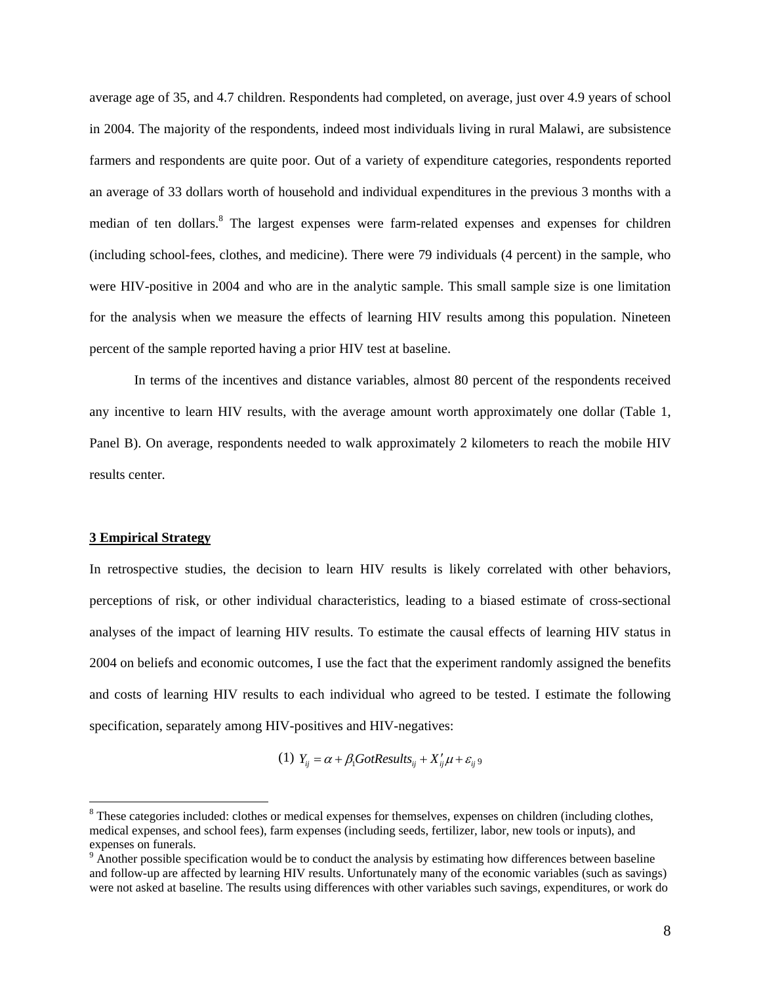average age of 35, and 4.7 children. Respondents had completed, on average, just over 4.9 years of school in 2004. The majority of the respondents, indeed most individuals living in rural Malawi, are subsistence farmers and respondents are quite poor. Out of a variety of expenditure categories, respondents reported an average of 33 dollars worth of household and individual expenditures in the previous 3 months with a median of ten dollars.<sup>8</sup> The largest expenses were farm-related expenses and expenses for children (including school-fees, clothes, and medicine). There were 79 individuals (4 percent) in the sample, who were HIV-positive in 2004 and who are in the analytic sample. This small sample size is one limitation for the analysis when we measure the effects of learning HIV results among this population. Nineteen percent of the sample reported having a prior HIV test at baseline.

 In terms of the incentives and distance variables, almost 80 percent of the respondents received any incentive to learn HIV results, with the average amount worth approximately one dollar (Table 1, Panel B). On average, respondents needed to walk approximately 2 kilometers to reach the mobile HIV results center.

#### **3 Empirical Strategy**

 $\overline{a}$ 

In retrospective studies, the decision to learn HIV results is likely correlated with other behaviors, perceptions of risk, or other individual characteristics, leading to a biased estimate of cross-sectional analyses of the impact of learning HIV results. To estimate the causal effects of learning HIV status in 2004 on beliefs and economic outcomes, I use the fact that the experiment randomly assigned the benefits and costs of learning HIV results to each individual who agreed to be tested. I estimate the following specification, separately among HIV-positives and HIV-negatives:

(1)  $Y_{ii} = \alpha + \beta_1 G \text{ot} Results_{ii} + X'_{ii} \mu + \varepsilon_{ii}$ 

 $8$  These categories included: clothes or medical expenses for themselves, expenses on children (including clothes, medical expenses, and school fees), farm expenses (including seeds, fertilizer, labor, new tools or inputs), and expenses on funerals.

 $9 \text{ Another possible specification would be to conduct the analysis by estimating how differences between baseline.}$ and follow-up are affected by learning HIV results. Unfortunately many of the economic variables (such as savings) were not asked at baseline. The results using differences with other variables such savings, expenditures, or work do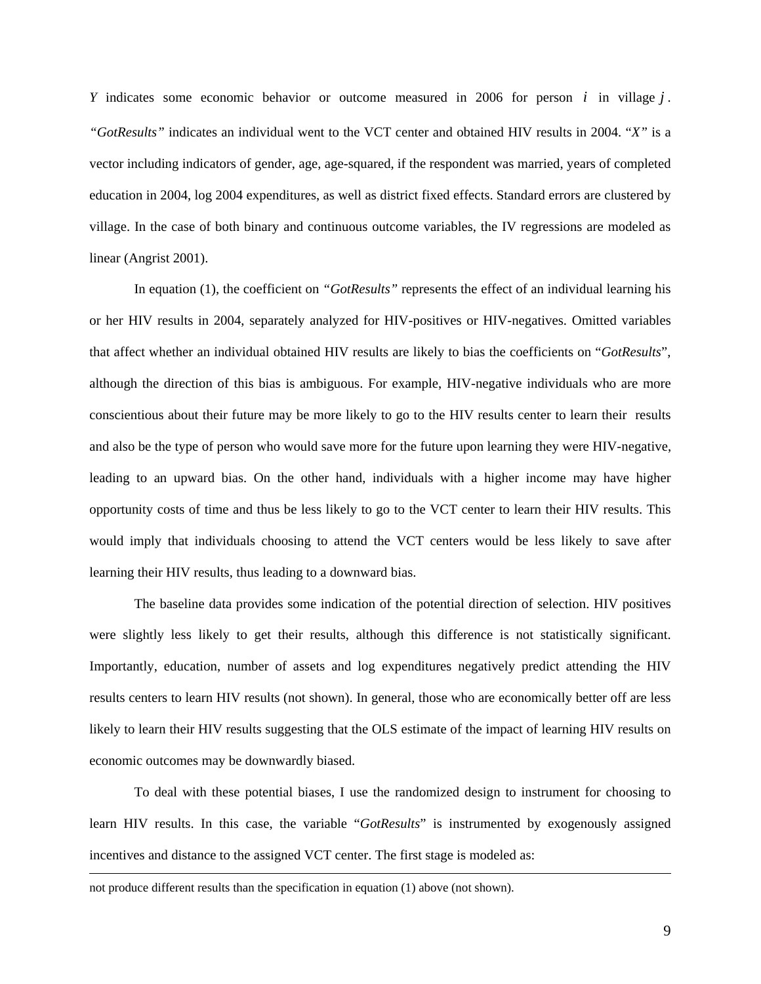*Y* indicates some economic behavior or outcome measured in 2006 for person *i* in village *j* . *"GotResults"* indicates an individual went to the VCT center and obtained HIV results in 2004. "*X"* is a vector including indicators of gender, age, age-squared, if the respondent was married, years of completed education in 2004, log 2004 expenditures, as well as district fixed effects. Standard errors are clustered by village. In the case of both binary and continuous outcome variables, the IV regressions are modeled as linear (Angrist 2001).

In equation (1), the coefficient on *"GotResults"* represents the effect of an individual learning his or her HIV results in 2004, separately analyzed for HIV-positives or HIV-negatives. Omitted variables that affect whether an individual obtained HIV results are likely to bias the coefficients on "*GotResults*", although the direction of this bias is ambiguous. For example, HIV-negative individuals who are more conscientious about their future may be more likely to go to the HIV results center to learn their results and also be the type of person who would save more for the future upon learning they were HIV-negative, leading to an upward bias. On the other hand, individuals with a higher income may have higher opportunity costs of time and thus be less likely to go to the VCT center to learn their HIV results. This would imply that individuals choosing to attend the VCT centers would be less likely to save after learning their HIV results, thus leading to a downward bias.

The baseline data provides some indication of the potential direction of selection. HIV positives were slightly less likely to get their results, although this difference is not statistically significant. Importantly, education, number of assets and log expenditures negatively predict attending the HIV results centers to learn HIV results (not shown). In general, those who are economically better off are less likely to learn their HIV results suggesting that the OLS estimate of the impact of learning HIV results on economic outcomes may be downwardly biased.

To deal with these potential biases, I use the randomized design to instrument for choosing to learn HIV results. In this case, the variable "*GotResults*" is instrumented by exogenously assigned incentives and distance to the assigned VCT center. The first stage is modeled as:

not produce different results than the specification in equation (1) above (not shown).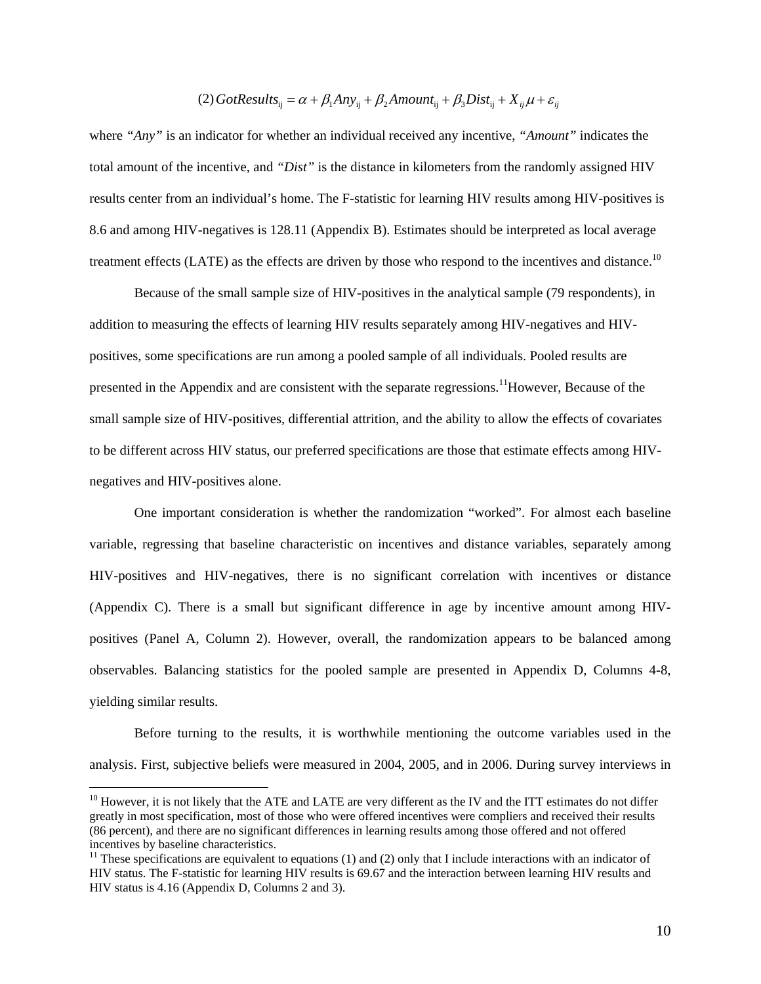# (2) GotResults<sub>ij</sub> =  $\alpha + \beta_1 A n y_{ij} + \beta_2 A m o$ unt<sub>ij</sub> +  $\beta_3 Dist_{ij} + X_{ij} \mu + \varepsilon_{ij}$

where *"Any"* is an indicator for whether an individual received any incentive, *"Amount"* indicates the total amount of the incentive, and *"Dist"* is the distance in kilometers from the randomly assigned HIV results center from an individual's home. The F-statistic for learning HIV results among HIV-positives is 8.6 and among HIV-negatives is 128.11 (Appendix B). Estimates should be interpreted as local average treatment effects (LATE) as the effects are driven by those who respond to the incentives and distance.<sup>10</sup>

 Because of the small sample size of HIV-positives in the analytical sample (79 respondents), in addition to measuring the effects of learning HIV results separately among HIV-negatives and HIVpositives, some specifications are run among a pooled sample of all individuals. Pooled results are presented in the Appendix and are consistent with the separate regressions.<sup>11</sup>However, Because of the small sample size of HIV-positives, differential attrition, and the ability to allow the effects of covariates to be different across HIV status, our preferred specifications are those that estimate effects among HIVnegatives and HIV-positives alone.

 One important consideration is whether the randomization "worked". For almost each baseline variable, regressing that baseline characteristic on incentives and distance variables, separately among HIV-positives and HIV-negatives, there is no significant correlation with incentives or distance (Appendix C). There is a small but significant difference in age by incentive amount among HIVpositives (Panel A, Column 2). However, overall, the randomization appears to be balanced among observables. Balancing statistics for the pooled sample are presented in Appendix D, Columns 4-8, yielding similar results.

 Before turning to the results, it is worthwhile mentioning the outcome variables used in the analysis. First, subjective beliefs were measured in 2004, 2005, and in 2006. During survey interviews in

 $10$  However, it is not likely that the ATE and LATE are very different as the IV and the ITT estimates do not differ greatly in most specification, most of those who were offered incentives were compliers and received their results (86 percent), and there are no significant differences in learning results among those offered and not offered incentives by baseline characteristics.<br><sup>11</sup> These specifications are equivalent to equations (1) and (2) only that I include interactions with an indicator of

HIV status. The F-statistic for learning HIV results is 69.67 and the interaction between learning HIV results and HIV status is 4.16 (Appendix D, Columns 2 and 3).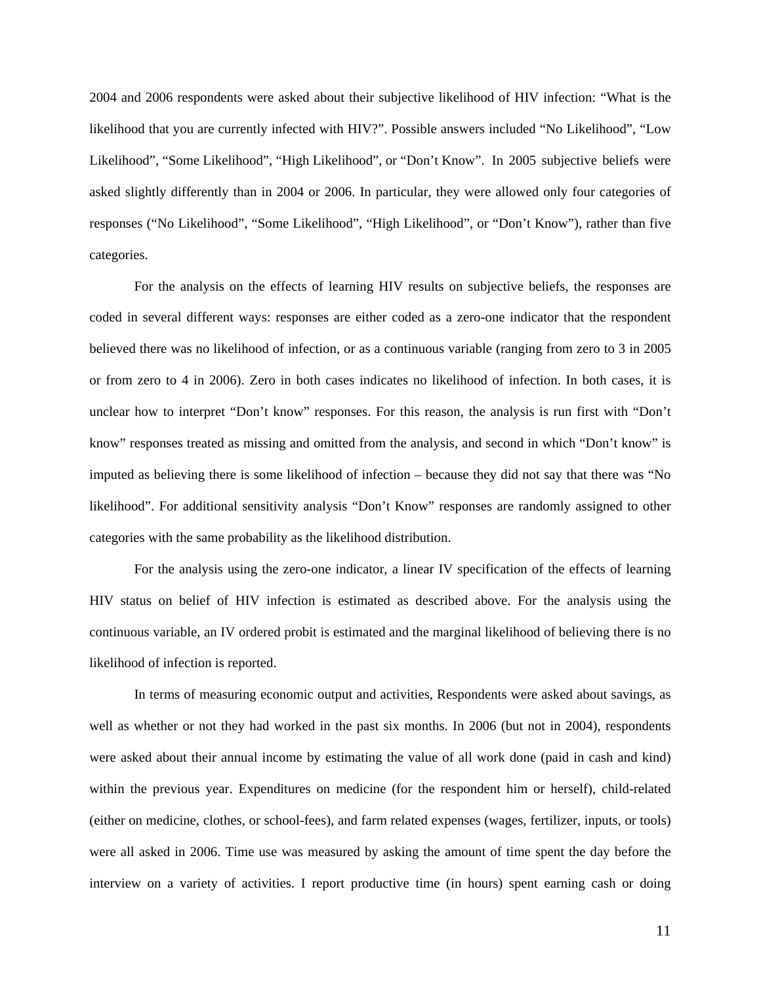2004 and 2006 respondents were asked about their subjective likelihood of HIV infection: "What is the likelihood that you are currently infected with HIV?". Possible answers included "No Likelihood", "Low Likelihood", "Some Likelihood", "High Likelihood", or "Don't Know". In 2005 subjective beliefs were asked slightly differently than in 2004 or 2006. In particular, they were allowed only four categories of responses ("No Likelihood", "Some Likelihood", "High Likelihood", or "Don't Know"), rather than five categories.

 For the analysis on the effects of learning HIV results on subjective beliefs, the responses are coded in several different ways: responses are either coded as a zero-one indicator that the respondent believed there was no likelihood of infection, or as a continuous variable (ranging from zero to 3 in 2005 or from zero to 4 in 2006). Zero in both cases indicates no likelihood of infection. In both cases, it is unclear how to interpret "Don't know" responses. For this reason, the analysis is run first with "Don't know" responses treated as missing and omitted from the analysis, and second in which "Don't know" is imputed as believing there is some likelihood of infection – because they did not say that there was "No likelihood". For additional sensitivity analysis "Don't Know" responses are randomly assigned to other categories with the same probability as the likelihood distribution.

 For the analysis using the zero-one indicator, a linear IV specification of the effects of learning HIV status on belief of HIV infection is estimated as described above. For the analysis using the continuous variable, an IV ordered probit is estimated and the marginal likelihood of believing there is no likelihood of infection is reported.

 In terms of measuring economic output and activities, Respondents were asked about savings, as well as whether or not they had worked in the past six months. In 2006 (but not in 2004), respondents were asked about their annual income by estimating the value of all work done (paid in cash and kind) within the previous year. Expenditures on medicine (for the respondent him or herself), child-related (either on medicine, clothes, or school-fees), and farm related expenses (wages, fertilizer, inputs, or tools) were all asked in 2006. Time use was measured by asking the amount of time spent the day before the interview on a variety of activities. I report productive time (in hours) spent earning cash or doing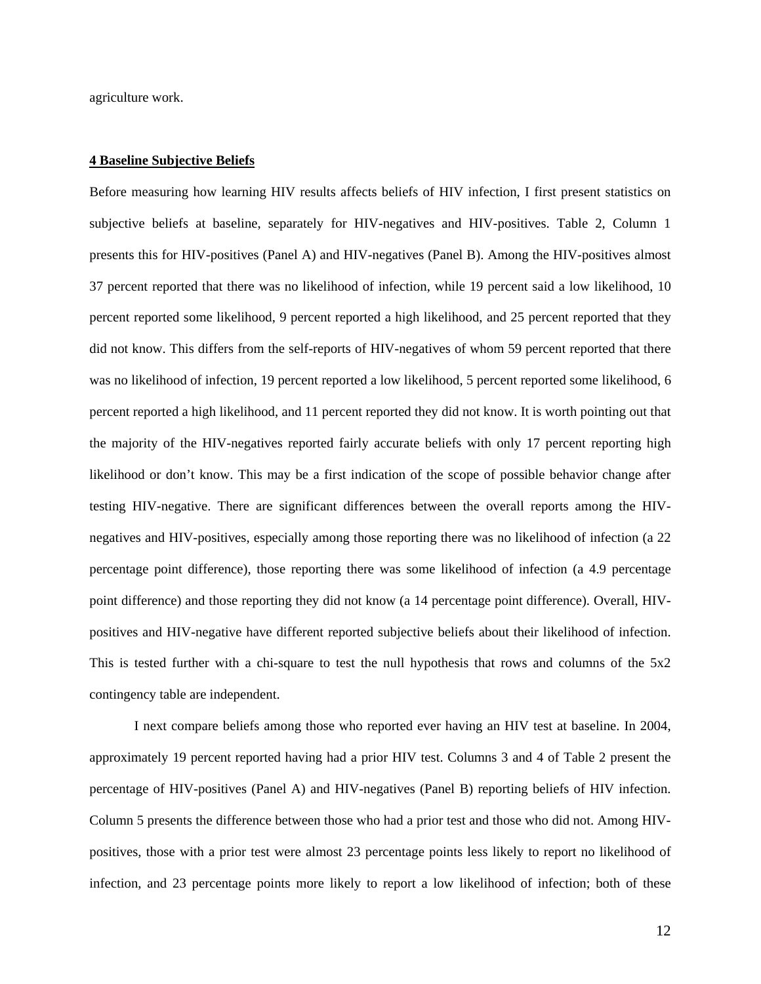agriculture work.

#### **4 Baseline Subjective Beliefs**

Before measuring how learning HIV results affects beliefs of HIV infection, I first present statistics on subjective beliefs at baseline, separately for HIV-negatives and HIV-positives. Table 2, Column 1 presents this for HIV-positives (Panel A) and HIV-negatives (Panel B). Among the HIV-positives almost 37 percent reported that there was no likelihood of infection, while 19 percent said a low likelihood, 10 percent reported some likelihood, 9 percent reported a high likelihood, and 25 percent reported that they did not know. This differs from the self-reports of HIV-negatives of whom 59 percent reported that there was no likelihood of infection, 19 percent reported a low likelihood, 5 percent reported some likelihood, 6 percent reported a high likelihood, and 11 percent reported they did not know. It is worth pointing out that the majority of the HIV-negatives reported fairly accurate beliefs with only 17 percent reporting high likelihood or don't know. This may be a first indication of the scope of possible behavior change after testing HIV-negative. There are significant differences between the overall reports among the HIVnegatives and HIV-positives, especially among those reporting there was no likelihood of infection (a 22 percentage point difference), those reporting there was some likelihood of infection (a 4.9 percentage point difference) and those reporting they did not know (a 14 percentage point difference). Overall, HIVpositives and HIV-negative have different reported subjective beliefs about their likelihood of infection. This is tested further with a chi-square to test the null hypothesis that rows and columns of the 5x2 contingency table are independent.

 I next compare beliefs among those who reported ever having an HIV test at baseline. In 2004, approximately 19 percent reported having had a prior HIV test. Columns 3 and 4 of Table 2 present the percentage of HIV-positives (Panel A) and HIV-negatives (Panel B) reporting beliefs of HIV infection. Column 5 presents the difference between those who had a prior test and those who did not. Among HIVpositives, those with a prior test were almost 23 percentage points less likely to report no likelihood of infection, and 23 percentage points more likely to report a low likelihood of infection; both of these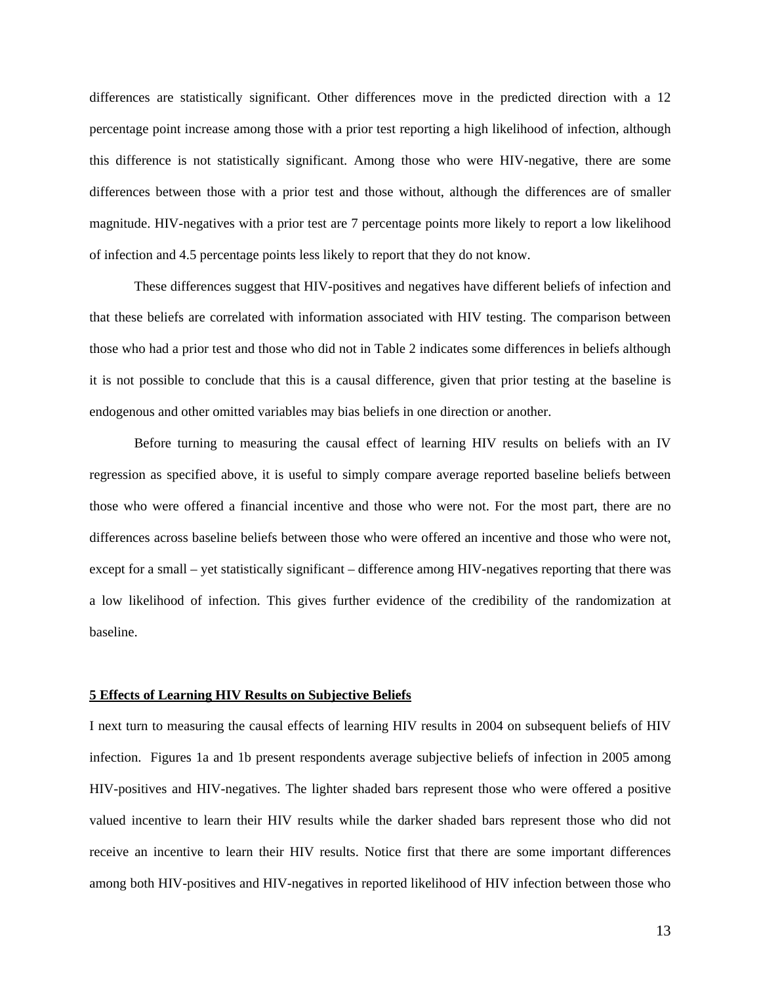differences are statistically significant. Other differences move in the predicted direction with a 12 percentage point increase among those with a prior test reporting a high likelihood of infection, although this difference is not statistically significant. Among those who were HIV-negative, there are some differences between those with a prior test and those without, although the differences are of smaller magnitude. HIV-negatives with a prior test are 7 percentage points more likely to report a low likelihood of infection and 4.5 percentage points less likely to report that they do not know.

These differences suggest that HIV-positives and negatives have different beliefs of infection and that these beliefs are correlated with information associated with HIV testing. The comparison between those who had a prior test and those who did not in Table 2 indicates some differences in beliefs although it is not possible to conclude that this is a causal difference, given that prior testing at the baseline is endogenous and other omitted variables may bias beliefs in one direction or another.

 Before turning to measuring the causal effect of learning HIV results on beliefs with an IV regression as specified above, it is useful to simply compare average reported baseline beliefs between those who were offered a financial incentive and those who were not. For the most part, there are no differences across baseline beliefs between those who were offered an incentive and those who were not, except for a small – yet statistically significant – difference among HIV-negatives reporting that there was a low likelihood of infection. This gives further evidence of the credibility of the randomization at baseline.

#### **5 Effects of Learning HIV Results on Subjective Beliefs**

I next turn to measuring the causal effects of learning HIV results in 2004 on subsequent beliefs of HIV infection. Figures 1a and 1b present respondents average subjective beliefs of infection in 2005 among HIV-positives and HIV-negatives. The lighter shaded bars represent those who were offered a positive valued incentive to learn their HIV results while the darker shaded bars represent those who did not receive an incentive to learn their HIV results. Notice first that there are some important differences among both HIV-positives and HIV-negatives in reported likelihood of HIV infection between those who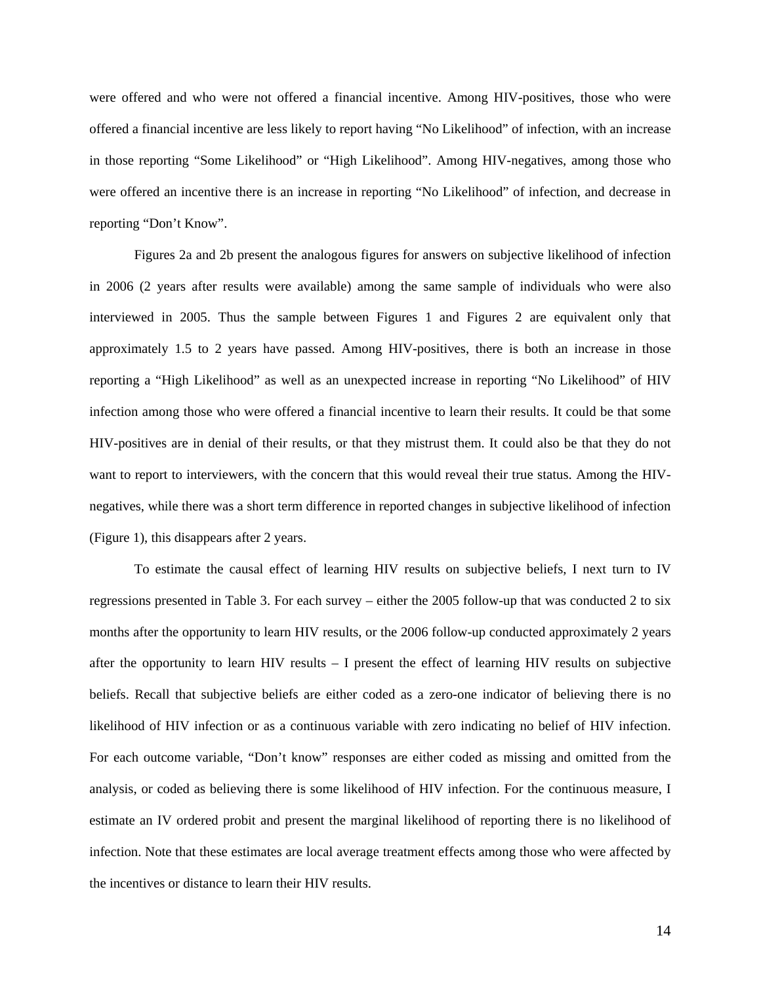were offered and who were not offered a financial incentive. Among HIV-positives, those who were offered a financial incentive are less likely to report having "No Likelihood" of infection, with an increase in those reporting "Some Likelihood" or "High Likelihood". Among HIV-negatives, among those who were offered an incentive there is an increase in reporting "No Likelihood" of infection, and decrease in reporting "Don't Know".

Figures 2a and 2b present the analogous figures for answers on subjective likelihood of infection in 2006 (2 years after results were available) among the same sample of individuals who were also interviewed in 2005. Thus the sample between Figures 1 and Figures 2 are equivalent only that approximately 1.5 to 2 years have passed. Among HIV-positives, there is both an increase in those reporting a "High Likelihood" as well as an unexpected increase in reporting "No Likelihood" of HIV infection among those who were offered a financial incentive to learn their results. It could be that some HIV-positives are in denial of their results, or that they mistrust them. It could also be that they do not want to report to interviewers, with the concern that this would reveal their true status. Among the HIVnegatives, while there was a short term difference in reported changes in subjective likelihood of infection (Figure 1), this disappears after 2 years.

To estimate the causal effect of learning HIV results on subjective beliefs, I next turn to IV regressions presented in Table 3. For each survey – either the 2005 follow-up that was conducted 2 to six months after the opportunity to learn HIV results, or the 2006 follow-up conducted approximately 2 years after the opportunity to learn HIV results – I present the effect of learning HIV results on subjective beliefs. Recall that subjective beliefs are either coded as a zero-one indicator of believing there is no likelihood of HIV infection or as a continuous variable with zero indicating no belief of HIV infection. For each outcome variable, "Don't know" responses are either coded as missing and omitted from the analysis, or coded as believing there is some likelihood of HIV infection. For the continuous measure, I estimate an IV ordered probit and present the marginal likelihood of reporting there is no likelihood of infection. Note that these estimates are local average treatment effects among those who were affected by the incentives or distance to learn their HIV results.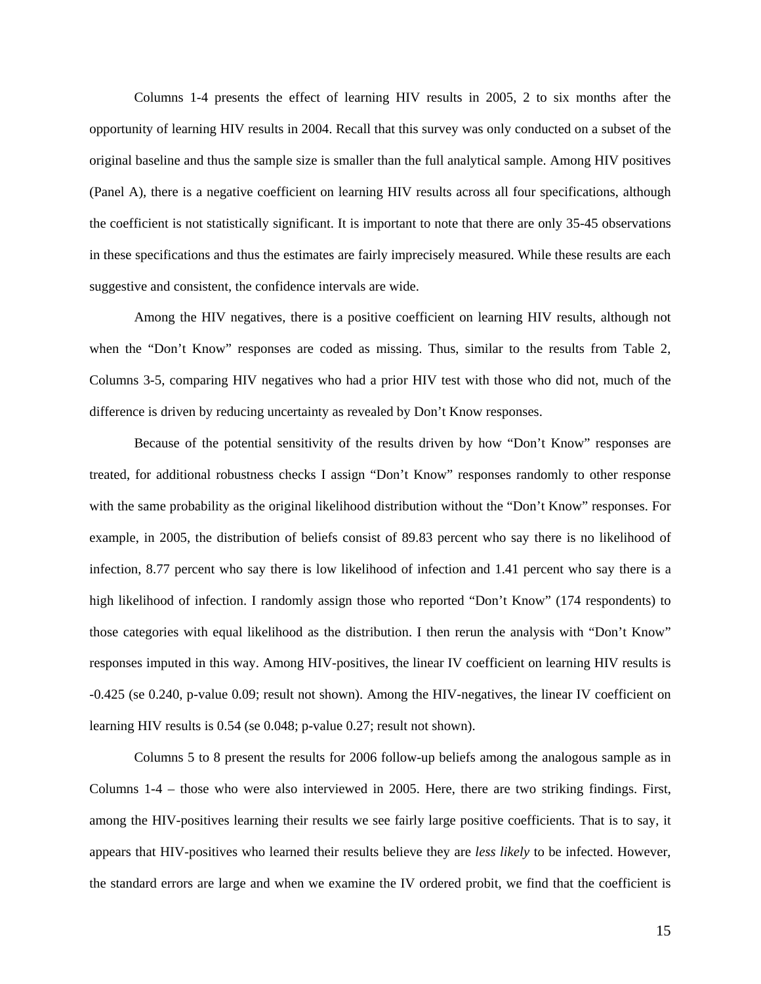Columns 1-4 presents the effect of learning HIV results in 2005, 2 to six months after the opportunity of learning HIV results in 2004. Recall that this survey was only conducted on a subset of the original baseline and thus the sample size is smaller than the full analytical sample. Among HIV positives (Panel A), there is a negative coefficient on learning HIV results across all four specifications, although the coefficient is not statistically significant. It is important to note that there are only 35-45 observations in these specifications and thus the estimates are fairly imprecisely measured. While these results are each suggestive and consistent, the confidence intervals are wide.

Among the HIV negatives, there is a positive coefficient on learning HIV results, although not when the "Don't Know" responses are coded as missing. Thus, similar to the results from Table 2, Columns 3-5, comparing HIV negatives who had a prior HIV test with those who did not, much of the difference is driven by reducing uncertainty as revealed by Don't Know responses.

Because of the potential sensitivity of the results driven by how "Don't Know" responses are treated, for additional robustness checks I assign "Don't Know" responses randomly to other response with the same probability as the original likelihood distribution without the "Don't Know" responses. For example, in 2005, the distribution of beliefs consist of 89.83 percent who say there is no likelihood of infection, 8.77 percent who say there is low likelihood of infection and 1.41 percent who say there is a high likelihood of infection. I randomly assign those who reported "Don't Know" (174 respondents) to those categories with equal likelihood as the distribution. I then rerun the analysis with "Don't Know" responses imputed in this way. Among HIV-positives, the linear IV coefficient on learning HIV results is -0.425 (se 0.240, p-value 0.09; result not shown). Among the HIV-negatives, the linear IV coefficient on learning HIV results is 0.54 (se 0.048; p-value 0.27; result not shown).

Columns 5 to 8 present the results for 2006 follow-up beliefs among the analogous sample as in Columns 1-4 – those who were also interviewed in 2005. Here, there are two striking findings. First, among the HIV-positives learning their results we see fairly large positive coefficients. That is to say, it appears that HIV-positives who learned their results believe they are *less likely* to be infected. However, the standard errors are large and when we examine the IV ordered probit, we find that the coefficient is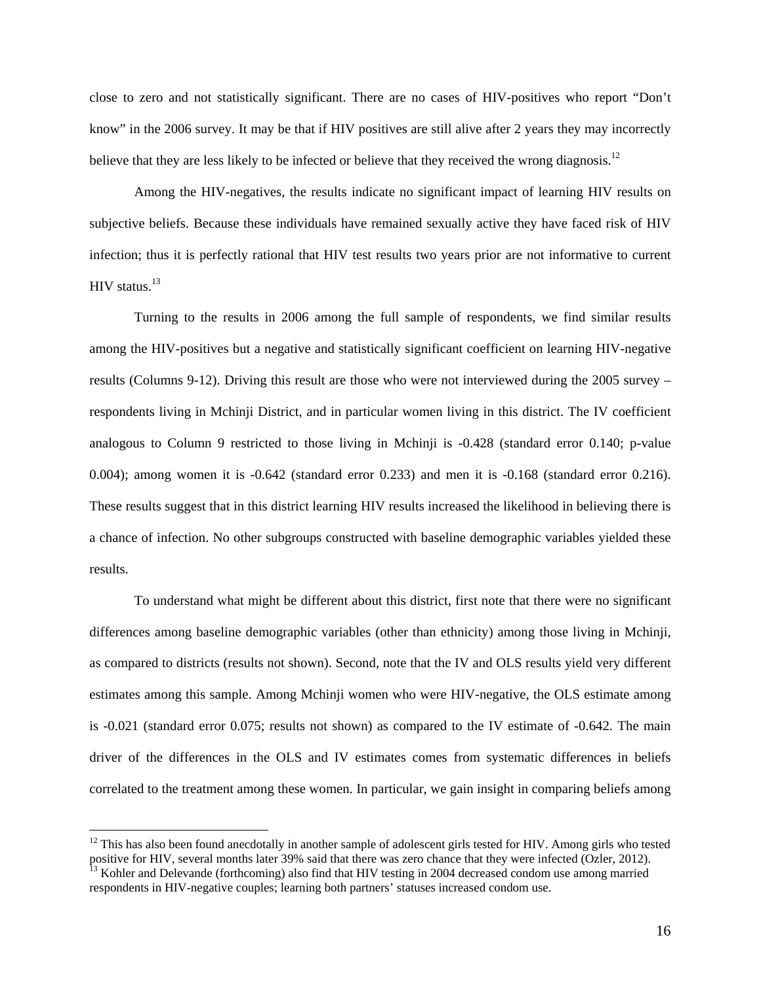close to zero and not statistically significant. There are no cases of HIV-positives who report "Don't know" in the 2006 survey. It may be that if HIV positives are still alive after 2 years they may incorrectly believe that they are less likely to be infected or believe that they received the wrong diagnosis.<sup>12</sup>

Among the HIV-negatives, the results indicate no significant impact of learning HIV results on subjective beliefs. Because these individuals have remained sexually active they have faced risk of HIV infection; thus it is perfectly rational that HIV test results two years prior are not informative to current HIV status.<sup>13</sup>

Turning to the results in 2006 among the full sample of respondents, we find similar results among the HIV-positives but a negative and statistically significant coefficient on learning HIV-negative results (Columns 9-12). Driving this result are those who were not interviewed during the 2005 survey – respondents living in Mchinji District, and in particular women living in this district. The IV coefficient analogous to Column 9 restricted to those living in Mchinji is -0.428 (standard error 0.140; p-value 0.004); among women it is -0.642 (standard error 0.233) and men it is -0.168 (standard error 0.216). These results suggest that in this district learning HIV results increased the likelihood in believing there is a chance of infection. No other subgroups constructed with baseline demographic variables yielded these results.

To understand what might be different about this district, first note that there were no significant differences among baseline demographic variables (other than ethnicity) among those living in Mchinji, as compared to districts (results not shown). Second, note that the IV and OLS results yield very different estimates among this sample. Among Mchinji women who were HIV-negative, the OLS estimate among is -0.021 (standard error 0.075; results not shown) as compared to the IV estimate of -0.642. The main driver of the differences in the OLS and IV estimates comes from systematic differences in beliefs correlated to the treatment among these women. In particular, we gain insight in comparing beliefs among

 $12$  This has also been found anecdotally in another sample of adolescent girls tested for HIV. Among girls who tested positive for HIV, several months later 39% said that there was zero chance that they were infected (Ozler, 2012).<br><sup>13</sup> Kohler and Delevande (forthcoming) also find that HIV testing in 2004 decreased condom use among marrie

respondents in HIV-negative couples; learning both partners' statuses increased condom use.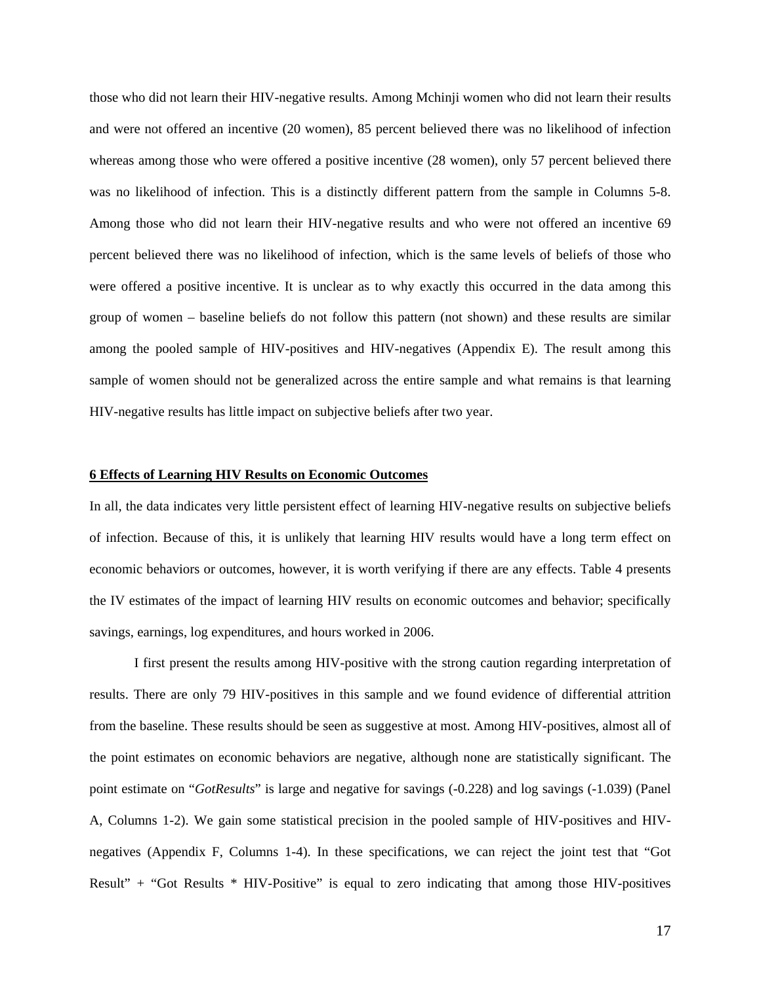those who did not learn their HIV-negative results. Among Mchinji women who did not learn their results and were not offered an incentive (20 women), 85 percent believed there was no likelihood of infection whereas among those who were offered a positive incentive (28 women), only 57 percent believed there was no likelihood of infection. This is a distinctly different pattern from the sample in Columns 5-8. Among those who did not learn their HIV-negative results and who were not offered an incentive 69 percent believed there was no likelihood of infection, which is the same levels of beliefs of those who were offered a positive incentive. It is unclear as to why exactly this occurred in the data among this group of women – baseline beliefs do not follow this pattern (not shown) and these results are similar among the pooled sample of HIV-positives and HIV-negatives (Appendix E). The result among this sample of women should not be generalized across the entire sample and what remains is that learning HIV-negative results has little impact on subjective beliefs after two year.

#### **6 Effects of Learning HIV Results on Economic Outcomes**

In all, the data indicates very little persistent effect of learning HIV-negative results on subjective beliefs of infection. Because of this, it is unlikely that learning HIV results would have a long term effect on economic behaviors or outcomes, however, it is worth verifying if there are any effects. Table 4 presents the IV estimates of the impact of learning HIV results on economic outcomes and behavior; specifically savings, earnings, log expenditures, and hours worked in 2006.

I first present the results among HIV-positive with the strong caution regarding interpretation of results. There are only 79 HIV-positives in this sample and we found evidence of differential attrition from the baseline. These results should be seen as suggestive at most. Among HIV-positives, almost all of the point estimates on economic behaviors are negative, although none are statistically significant. The point estimate on "*GotResults*" is large and negative for savings (-0.228) and log savings (-1.039) (Panel A, Columns 1-2). We gain some statistical precision in the pooled sample of HIV-positives and HIVnegatives (Appendix F, Columns 1-4). In these specifications, we can reject the joint test that "Got Result" + "Got Results \* HIV-Positive" is equal to zero indicating that among those HIV-positives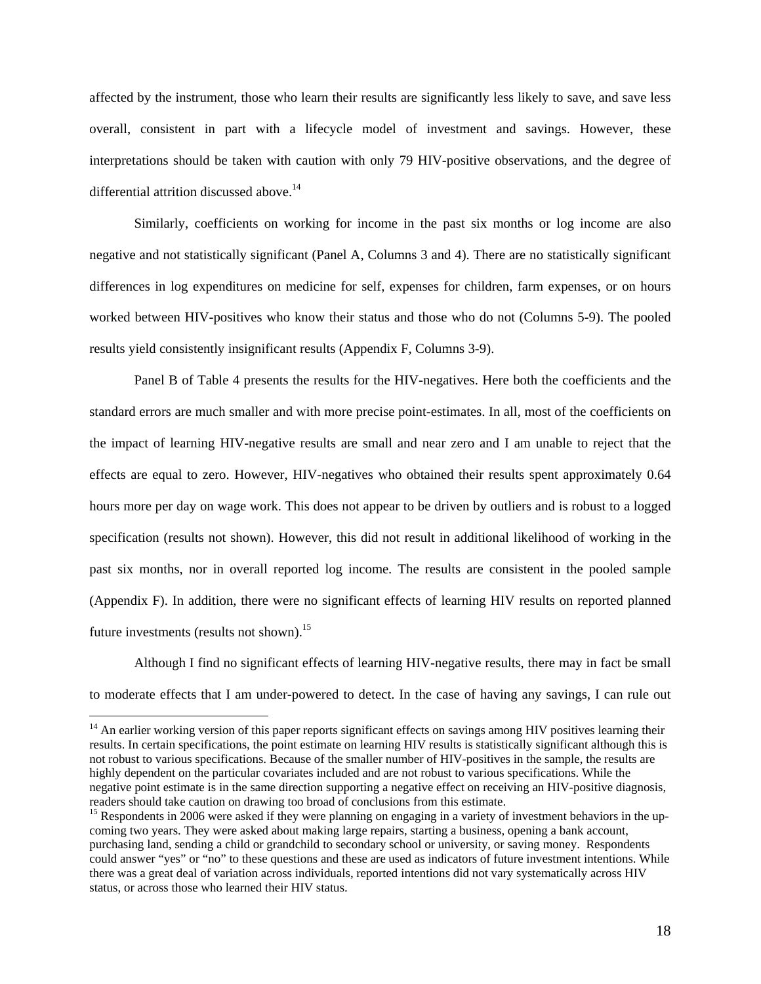affected by the instrument, those who learn their results are significantly less likely to save, and save less overall, consistent in part with a lifecycle model of investment and savings. However, these interpretations should be taken with caution with only 79 HIV-positive observations, and the degree of differential attrition discussed above.<sup>14</sup>

Similarly, coefficients on working for income in the past six months or log income are also negative and not statistically significant (Panel A, Columns 3 and 4). There are no statistically significant differences in log expenditures on medicine for self, expenses for children, farm expenses, or on hours worked between HIV-positives who know their status and those who do not (Columns 5-9). The pooled results yield consistently insignificant results (Appendix F, Columns 3-9).

Panel B of Table 4 presents the results for the HIV-negatives. Here both the coefficients and the standard errors are much smaller and with more precise point-estimates. In all, most of the coefficients on the impact of learning HIV-negative results are small and near zero and I am unable to reject that the effects are equal to zero. However, HIV-negatives who obtained their results spent approximately 0.64 hours more per day on wage work. This does not appear to be driven by outliers and is robust to a logged specification (results not shown). However, this did not result in additional likelihood of working in the past six months, nor in overall reported log income. The results are consistent in the pooled sample (Appendix F). In addition, there were no significant effects of learning HIV results on reported planned future investments (results not shown).<sup>15</sup>

Although I find no significant effects of learning HIV-negative results, there may in fact be small to moderate effects that I am under-powered to detect. In the case of having any savings, I can rule out

<sup>&</sup>lt;sup>14</sup> An earlier working version of this paper reports significant effects on savings among HIV positives learning their results. In certain specifications, the point estimate on learning HIV results is statistically significant although this is not robust to various specifications. Because of the smaller number of HIV-positives in the sample, the results are highly dependent on the particular covariates included and are not robust to various specifications. While the negative point estimate is in the same direction supporting a negative effect on receiving an HIV-positive diagnosis, readers should take caution on drawing too broad of conclusions from this estimate.

<sup>&</sup>lt;sup>15</sup> Respondents in 2006 were asked if they were planning on engaging in a variety of investment behaviors in the upcoming two years. They were asked about making large repairs, starting a business, opening a bank account, purchasing land, sending a child or grandchild to secondary school or university, or saving money. Respondents could answer "yes" or "no" to these questions and these are used as indicators of future investment intentions. While there was a great deal of variation across individuals, reported intentions did not vary systematically across HIV status, or across those who learned their HIV status.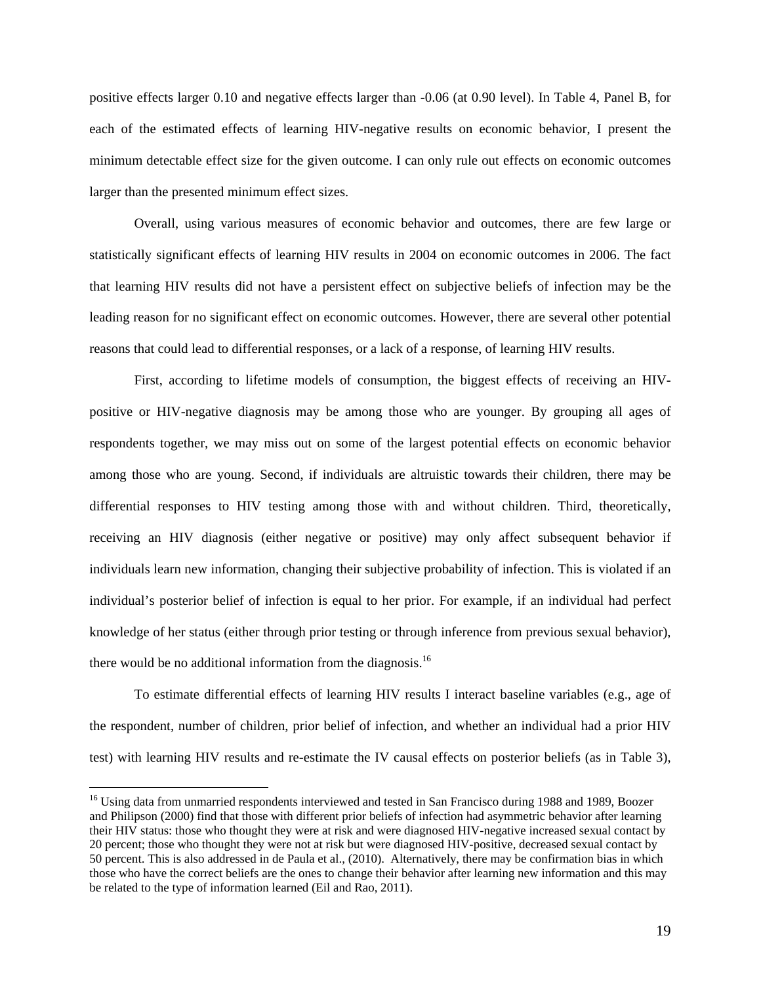positive effects larger 0.10 and negative effects larger than -0.06 (at 0.90 level). In Table 4, Panel B, for each of the estimated effects of learning HIV-negative results on economic behavior, I present the minimum detectable effect size for the given outcome. I can only rule out effects on economic outcomes larger than the presented minimum effect sizes.

Overall, using various measures of economic behavior and outcomes, there are few large or statistically significant effects of learning HIV results in 2004 on economic outcomes in 2006. The fact that learning HIV results did not have a persistent effect on subjective beliefs of infection may be the leading reason for no significant effect on economic outcomes. However, there are several other potential reasons that could lead to differential responses, or a lack of a response, of learning HIV results.

First, according to lifetime models of consumption, the biggest effects of receiving an HIVpositive or HIV-negative diagnosis may be among those who are younger. By grouping all ages of respondents together, we may miss out on some of the largest potential effects on economic behavior among those who are young. Second, if individuals are altruistic towards their children, there may be differential responses to HIV testing among those with and without children. Third, theoretically, receiving an HIV diagnosis (either negative or positive) may only affect subsequent behavior if individuals learn new information, changing their subjective probability of infection. This is violated if an individual's posterior belief of infection is equal to her prior. For example, if an individual had perfect knowledge of her status (either through prior testing or through inference from previous sexual behavior), there would be no additional information from the diagnosis.<sup>16</sup>

To estimate differential effects of learning HIV results I interact baseline variables (e.g., age of the respondent, number of children, prior belief of infection, and whether an individual had a prior HIV test) with learning HIV results and re-estimate the IV causal effects on posterior beliefs (as in Table 3),

<sup>&</sup>lt;sup>16</sup> Using data from unmarried respondents interviewed and tested in San Francisco during 1988 and 1989, Boozer and Philipson (2000) find that those with different prior beliefs of infection had asymmetric behavior after learning their HIV status: those who thought they were at risk and were diagnosed HIV-negative increased sexual contact by 20 percent; those who thought they were not at risk but were diagnosed HIV-positive, decreased sexual contact by 50 percent. This is also addressed in de Paula et al., (2010). Alternatively, there may be confirmation bias in which those who have the correct beliefs are the ones to change their behavior after learning new information and this may be related to the type of information learned (Eil and Rao, 2011).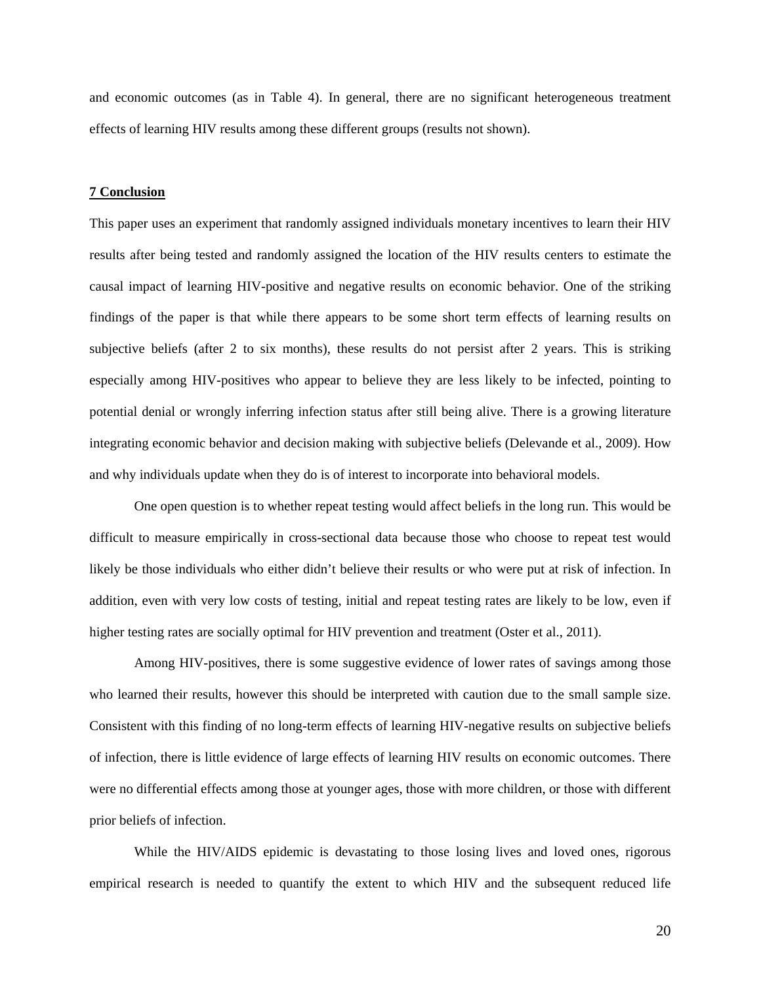and economic outcomes (as in Table 4). In general, there are no significant heterogeneous treatment effects of learning HIV results among these different groups (results not shown).

### **7 Conclusion**

This paper uses an experiment that randomly assigned individuals monetary incentives to learn their HIV results after being tested and randomly assigned the location of the HIV results centers to estimate the causal impact of learning HIV-positive and negative results on economic behavior. One of the striking findings of the paper is that while there appears to be some short term effects of learning results on subjective beliefs (after 2 to six months), these results do not persist after 2 years. This is striking especially among HIV-positives who appear to believe they are less likely to be infected, pointing to potential denial or wrongly inferring infection status after still being alive. There is a growing literature integrating economic behavior and decision making with subjective beliefs (Delevande et al., 2009). How and why individuals update when they do is of interest to incorporate into behavioral models.

 One open question is to whether repeat testing would affect beliefs in the long run. This would be difficult to measure empirically in cross-sectional data because those who choose to repeat test would likely be those individuals who either didn't believe their results or who were put at risk of infection. In addition, even with very low costs of testing, initial and repeat testing rates are likely to be low, even if higher testing rates are socially optimal for HIV prevention and treatment (Oster et al., 2011).

 Among HIV-positives, there is some suggestive evidence of lower rates of savings among those who learned their results, however this should be interpreted with caution due to the small sample size. Consistent with this finding of no long-term effects of learning HIV-negative results on subjective beliefs of infection, there is little evidence of large effects of learning HIV results on economic outcomes. There were no differential effects among those at younger ages, those with more children, or those with different prior beliefs of infection.

 While the HIV/AIDS epidemic is devastating to those losing lives and loved ones, rigorous empirical research is needed to quantify the extent to which HIV and the subsequent reduced life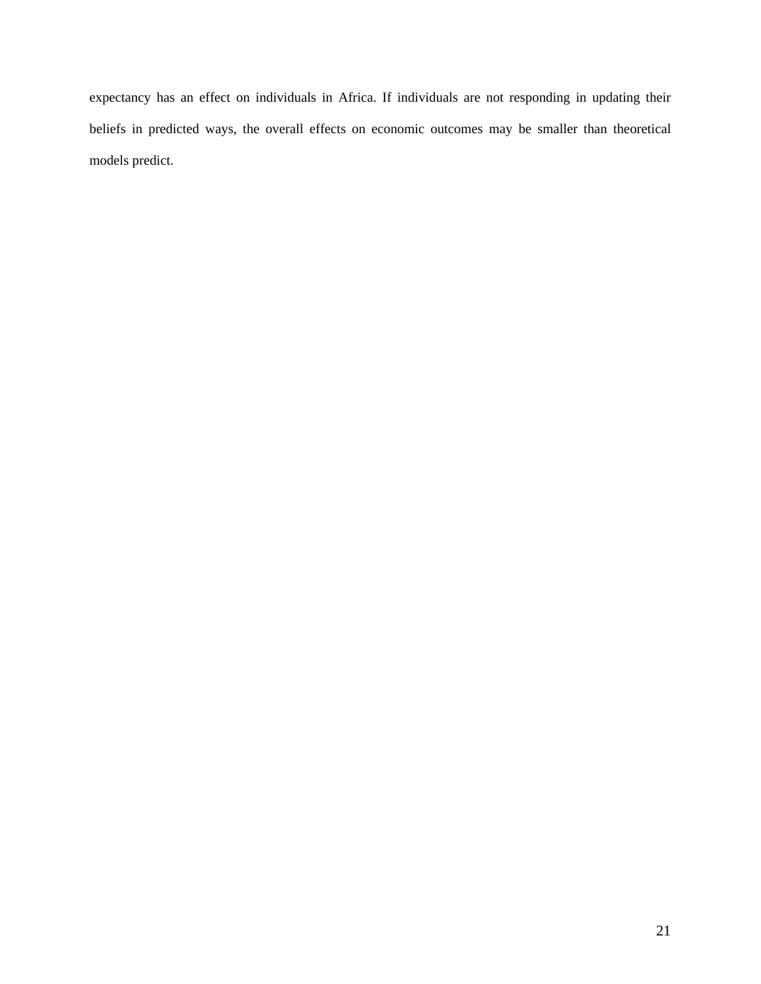expectancy has an effect on individuals in Africa. If individuals are not responding in updating their beliefs in predicted ways, the overall effects on economic outcomes may be smaller than theoretical models predict.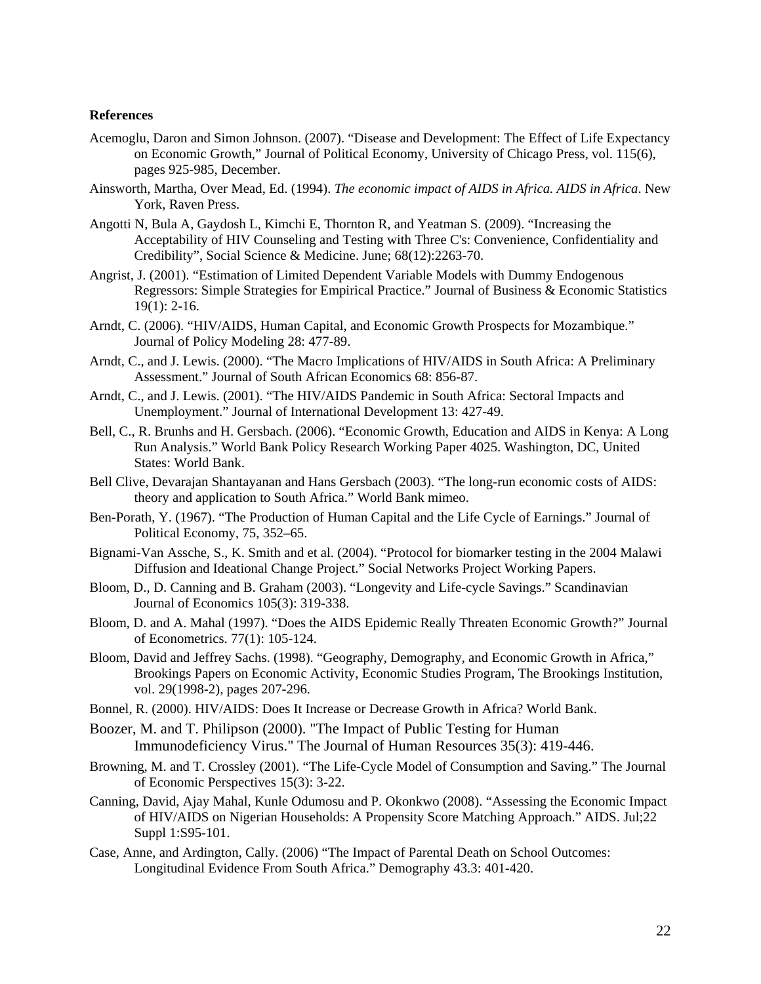### **References**

- Acemoglu, Daron and Simon Johnson. (2007). "Disease and Development: The Effect of Life Expectancy on Economic Growth," Journal of Political Economy, University of Chicago Press, vol. 115(6), pages 925-985, December.
- Ainsworth, Martha, Over Mead, Ed. (1994). *The economic impact of AIDS in Africa. AIDS in Africa*. New York, Raven Press.
- Angotti N, Bula A, Gaydosh L, Kimchi E, Thornton R, and Yeatman S. (2009). "Increasing the Acceptability of HIV Counseling and Testing with Three C's: Convenience, Confidentiality and Credibility", Social Science & Medicine. June; 68(12):2263-70.
- Angrist, J. (2001). "Estimation of Limited Dependent Variable Models with Dummy Endogenous Regressors: Simple Strategies for Empirical Practice." Journal of Business & Economic Statistics 19(1): 2-16.
- Arndt, C. (2006). "HIV/AIDS, Human Capital, and Economic Growth Prospects for Mozambique." Journal of Policy Modeling 28: 477-89.
- Arndt, C., and J. Lewis. (2000). "The Macro Implications of HIV/AIDS in South Africa: A Preliminary Assessment." Journal of South African Economics 68: 856-87.
- Arndt, C., and J. Lewis. (2001). "The HIV/AIDS Pandemic in South Africa: Sectoral Impacts and Unemployment." Journal of International Development 13: 427-49.
- Bell, C., R. Brunhs and H. Gersbach. (2006). "Economic Growth, Education and AIDS in Kenya: A Long Run Analysis." World Bank Policy Research Working Paper 4025. Washington, DC, United States: World Bank.
- Bell Clive, Devarajan Shantayanan and Hans Gersbach (2003). "The long-run economic costs of AIDS: theory and application to South Africa." World Bank mimeo.
- Ben-Porath, Y. (1967). "The Production of Human Capital and the Life Cycle of Earnings." Journal of Political Economy, 75, 352–65.
- Bignami-Van Assche, S., K. Smith and et al. (2004). "Protocol for biomarker testing in the 2004 Malawi Diffusion and Ideational Change Project." Social Networks Project Working Papers.
- Bloom, D., D. Canning and B. Graham (2003). "Longevity and Life-cycle Savings." Scandinavian Journal of Economics 105(3): 319-338.
- Bloom, D. and A. Mahal (1997). "Does the AIDS Epidemic Really Threaten Economic Growth?" Journal of Econometrics. 77(1): 105-124.
- Bloom, David and Jeffrey Sachs. (1998). "Geography, Demography, and Economic Growth in Africa," Brookings Papers on Economic Activity, Economic Studies Program, The Brookings Institution, vol. 29(1998-2), pages 207-296.
- Bonnel, R. (2000). HIV/AIDS: Does It Increase or Decrease Growth in Africa? World Bank.
- Boozer, M. and T. Philipson (2000). "The Impact of Public Testing for Human Immunodeficiency Virus." The Journal of Human Resources 35(3): 419-446.
- Browning, M. and T. Crossley (2001). "The Life-Cycle Model of Consumption and Saving." The Journal of Economic Perspectives 15(3): 3-22.
- Canning, David, Ajay Mahal, Kunle Odumosu and P. Okonkwo (2008). "Assessing the Economic Impact of HIV/AIDS on Nigerian Households: A Propensity Score Matching Approach." AIDS. Jul;22 Suppl 1:S95-101.
- Case, Anne, and Ardington, Cally. (2006) "The Impact of Parental Death on School Outcomes: Longitudinal Evidence From South Africa." Demography 43.3: 401-420.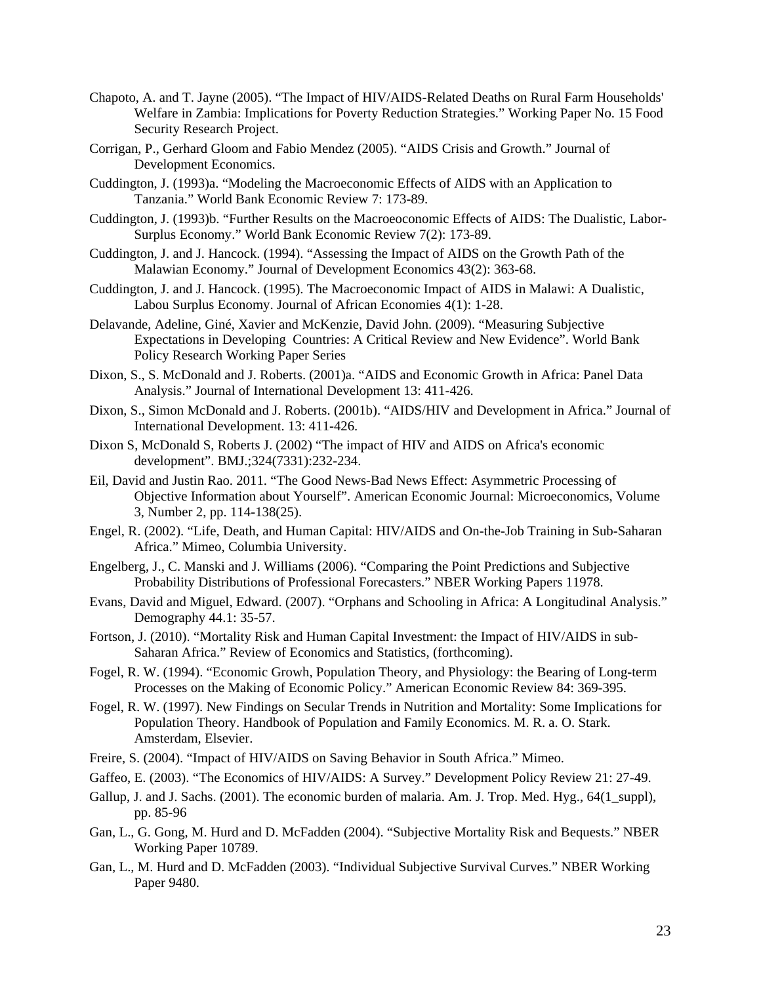- Chapoto, A. and T. Jayne (2005). "The Impact of HIV/AIDS-Related Deaths on Rural Farm Households' Welfare in Zambia: Implications for Poverty Reduction Strategies." Working Paper No. 15 Food Security Research Project.
- Corrigan, P., Gerhard Gloom and Fabio Mendez (2005). "AIDS Crisis and Growth." Journal of Development Economics.
- Cuddington, J. (1993)a. "Modeling the Macroeconomic Effects of AIDS with an Application to Tanzania." World Bank Economic Review 7: 173-89.
- Cuddington, J. (1993)b. "Further Results on the Macroeoconomic Effects of AIDS: The Dualistic, Labor-Surplus Economy." World Bank Economic Review 7(2): 173-89.
- Cuddington, J. and J. Hancock. (1994). "Assessing the Impact of AIDS on the Growth Path of the Malawian Economy." Journal of Development Economics 43(2): 363-68.
- Cuddington, J. and J. Hancock. (1995). The Macroeconomic Impact of AIDS in Malawi: A Dualistic, Labou Surplus Economy. Journal of African Economies 4(1): 1-28.
- Delavande, Adeline, Giné, Xavier and McKenzie, David John. (2009). "Measuring Subjective Expectations in Developing Countries: A Critical Review and New Evidence". World Bank Policy Research Working Paper Series
- Dixon, S., S. McDonald and J. Roberts. (2001)a. "AIDS and Economic Growth in Africa: Panel Data Analysis." Journal of International Development 13: 411-426.
- Dixon, S., Simon McDonald and J. Roberts. (2001b). "AIDS/HIV and Development in Africa." Journal of International Development. 13: 411-426.
- Dixon S, McDonald S, Roberts J. (2002) "The impact of HIV and AIDS on Africa's economic development". BMJ.;324(7331):232-234.
- Eil, David and Justin Rao. 2011. "The Good News-Bad News Effect: Asymmetric Processing of Objective Information about Yourself". American Economic Journal: Microeconomics, Volume 3, Number 2, pp. 114-138(25).
- Engel, R. (2002). "Life, Death, and Human Capital: HIV/AIDS and On-the-Job Training in Sub-Saharan Africa." Mimeo, Columbia University.
- Engelberg, J., C. Manski and J. Williams (2006). "Comparing the Point Predictions and Subjective Probability Distributions of Professional Forecasters." NBER Working Papers 11978.
- Evans, David and Miguel, Edward. (2007). "Orphans and Schooling in Africa: A Longitudinal Analysis." Demography 44.1: 35-57.
- Fortson, J. (2010). "Mortality Risk and Human Capital Investment: the Impact of HIV/AIDS in sub-Saharan Africa." Review of Economics and Statistics, (forthcoming).
- Fogel, R. W. (1994). "Economic Growh, Population Theory, and Physiology: the Bearing of Long-term Processes on the Making of Economic Policy." American Economic Review 84: 369-395.
- Fogel, R. W. (1997). New Findings on Secular Trends in Nutrition and Mortality: Some Implications for Population Theory. Handbook of Population and Family Economics. M. R. a. O. Stark. Amsterdam, Elsevier.
- Freire, S. (2004). "Impact of HIV/AIDS on Saving Behavior in South Africa." Mimeo.
- Gaffeo, E. (2003). "The Economics of HIV/AIDS: A Survey." Development Policy Review 21: 27-49.
- Gallup, J. and J. Sachs. (2001). The economic burden of malaria. Am. J. Trop. Med. Hyg., 64(1 suppl), pp. 85-96
- Gan, L., G. Gong, M. Hurd and D. McFadden (2004). "Subjective Mortality Risk and Bequests." NBER Working Paper 10789.
- Gan, L., M. Hurd and D. McFadden (2003). "Individual Subjective Survival Curves." NBER Working Paper 9480.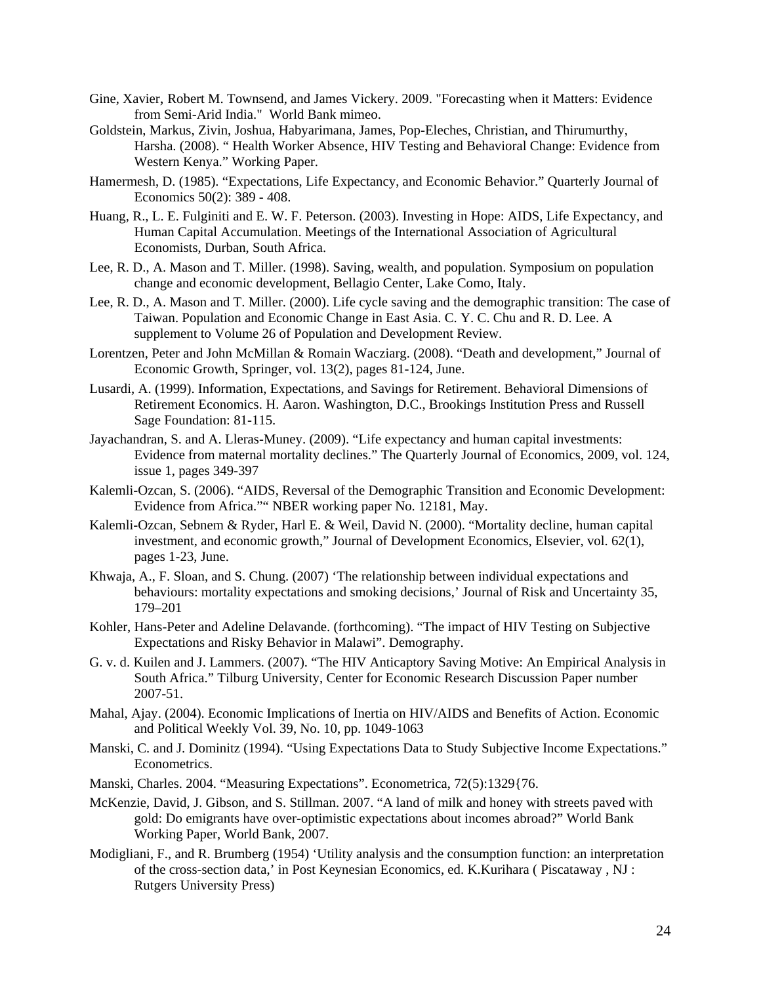- Gine, Xavier, Robert M. Townsend, and James Vickery. 2009. "Forecasting when it Matters: Evidence from Semi-Arid India." World Bank mimeo.
- Goldstein, Markus, Zivin, Joshua, Habyarimana, James, Pop-Eleches, Christian, and Thirumurthy, Harsha. (2008). " Health Worker Absence, HIV Testing and Behavioral Change: Evidence from Western Kenya." Working Paper.
- Hamermesh, D. (1985). "Expectations, Life Expectancy, and Economic Behavior." Quarterly Journal of Economics 50(2): 389 - 408.
- Huang, R., L. E. Fulginiti and E. W. F. Peterson. (2003). Investing in Hope: AIDS, Life Expectancy, and Human Capital Accumulation. Meetings of the International Association of Agricultural Economists, Durban, South Africa.
- Lee, R. D., A. Mason and T. Miller. (1998). Saving, wealth, and population. Symposium on population change and economic development, Bellagio Center, Lake Como, Italy.
- Lee, R. D., A. Mason and T. Miller. (2000). Life cycle saving and the demographic transition: The case of Taiwan. Population and Economic Change in East Asia. C. Y. C. Chu and R. D. Lee. A supplement to Volume 26 of Population and Development Review.
- Lorentzen, Peter and John McMillan & Romain Wacziarg. (2008). "Death and development," Journal of Economic Growth, Springer, vol. 13(2), pages 81-124, June.
- Lusardi, A. (1999). Information, Expectations, and Savings for Retirement. Behavioral Dimensions of Retirement Economics. H. Aaron. Washington, D.C., Brookings Institution Press and Russell Sage Foundation: 81-115.
- Jayachandran, S. and A. Lleras-Muney. (2009). "Life expectancy and human capital investments: Evidence from maternal mortality declines." The Quarterly Journal of Economics, 2009, vol. 124, issue 1, pages 349-397
- Kalemli-Ozcan, S. (2006). "AIDS, Reversal of the Demographic Transition and Economic Development: Evidence from Africa."" NBER working paper No. 12181, May.
- Kalemli-Ozcan, Sebnem & Ryder, Harl E. & Weil, David N. (2000). "Mortality decline, human capital investment, and economic growth," Journal of Development Economics, Elsevier, vol. 62(1), pages 1-23, June.
- Khwaja, A., F. Sloan, and S. Chung. (2007) 'The relationship between individual expectations and behaviours: mortality expectations and smoking decisions,' Journal of Risk and Uncertainty 35, 179–201
- Kohler, Hans-Peter and Adeline Delavande. (forthcoming). "The impact of HIV Testing on Subjective Expectations and Risky Behavior in Malawi". Demography.
- G. v. d. Kuilen and J. Lammers. (2007). "The HIV Anticaptory Saving Motive: An Empirical Analysis in South Africa." Tilburg University, Center for Economic Research Discussion Paper number 2007-51.
- Mahal, Ajay. (2004). Economic Implications of Inertia on HIV/AIDS and Benefits of Action. Economic and Political Weekly Vol. 39, No. 10, pp. 1049-1063
- Manski, C. and J. Dominitz (1994). "Using Expectations Data to Study Subjective Income Expectations." Econometrics.
- Manski, Charles. 2004. "Measuring Expectations". Econometrica, 72(5):1329{76.
- McKenzie, David, J. Gibson, and S. Stillman. 2007. "A land of milk and honey with streets paved with gold: Do emigrants have over-optimistic expectations about incomes abroad?" World Bank Working Paper, World Bank, 2007.
- Modigliani, F., and R. Brumberg (1954) 'Utility analysis and the consumption function: an interpretation of the cross-section data,' in Post Keynesian Economics, ed. K.Kurihara ( Piscataway , NJ : Rutgers University Press)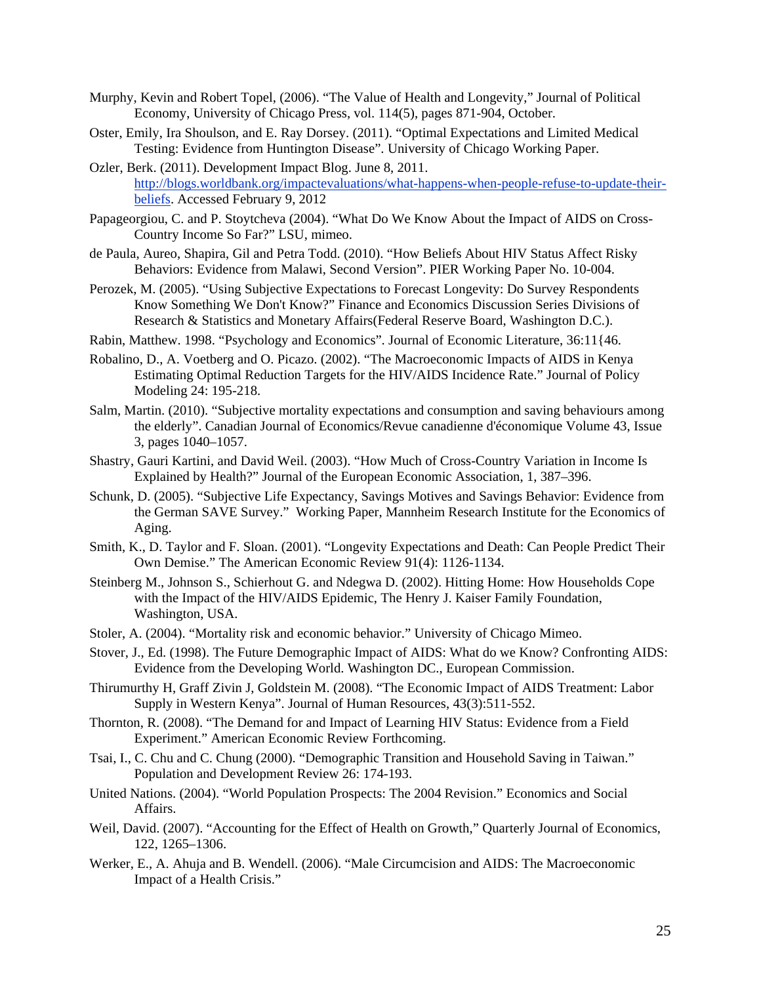- Murphy, Kevin and Robert Topel, (2006). "The Value of Health and Longevity," Journal of Political Economy, University of Chicago Press, vol. 114(5), pages 871-904, October.
- Oster, Emily, Ira Shoulson, and E. Ray Dorsey. (2011). "Optimal Expectations and Limited Medical Testing: Evidence from Huntington Disease". University of Chicago Working Paper.
- Ozler, Berk. (2011). Development Impact Blog. June 8, 2011. http://blogs.worldbank.org/impactevaluations/what-happens-when-people-refuse-to-update-theirbeliefs. Accessed February 9, 2012
- Papageorgiou, C. and P. Stoytcheva (2004). "What Do We Know About the Impact of AIDS on Cross-Country Income So Far?" LSU, mimeo.
- de Paula, Aureo, Shapira, Gil and Petra Todd. (2010). "How Beliefs About HIV Status Affect Risky Behaviors: Evidence from Malawi, Second Version". PIER Working Paper No. 10-004.
- Perozek, M. (2005). "Using Subjective Expectations to Forecast Longevity: Do Survey Respondents Know Something We Don't Know?" Finance and Economics Discussion Series Divisions of Research & Statistics and Monetary Affairs(Federal Reserve Board, Washington D.C.).
- Rabin, Matthew. 1998. "Psychology and Economics". Journal of Economic Literature, 36:11{46.
- Robalino, D., A. Voetberg and O. Picazo. (2002). "The Macroeconomic Impacts of AIDS in Kenya Estimating Optimal Reduction Targets for the HIV/AIDS Incidence Rate." Journal of Policy Modeling 24: 195-218.
- Salm, Martin. (2010). "Subjective mortality expectations and consumption and saving behaviours among the elderly". Canadian Journal of Economics/Revue canadienne d'économique Volume 43, Issue 3, pages 1040–1057.
- Shastry, Gauri Kartini, and David Weil. (2003). "How Much of Cross-Country Variation in Income Is Explained by Health?" Journal of the European Economic Association, 1, 387–396.
- Schunk, D. (2005). "Subjective Life Expectancy, Savings Motives and Savings Behavior: Evidence from the German SAVE Survey." Working Paper, Mannheim Research Institute for the Economics of Aging.
- Smith, K., D. Taylor and F. Sloan. (2001). "Longevity Expectations and Death: Can People Predict Their Own Demise." The American Economic Review 91(4): 1126-1134.
- Steinberg M., Johnson S., Schierhout G. and Ndegwa D. (2002). Hitting Home: How Households Cope with the Impact of the HIV/AIDS Epidemic, The Henry J. Kaiser Family Foundation, Washington, USA.
- Stoler, A. (2004). "Mortality risk and economic behavior." University of Chicago Mimeo.
- Stover, J., Ed. (1998). The Future Demographic Impact of AIDS: What do we Know? Confronting AIDS: Evidence from the Developing World. Washington DC., European Commission.
- Thirumurthy H, Graff Zivin J, Goldstein M. (2008). "The Economic Impact of AIDS Treatment: Labor Supply in Western Kenya". Journal of Human Resources, 43(3):511-552.
- Thornton, R. (2008). "The Demand for and Impact of Learning HIV Status: Evidence from a Field Experiment." American Economic Review Forthcoming.
- Tsai, I., C. Chu and C. Chung (2000). "Demographic Transition and Household Saving in Taiwan." Population and Development Review 26: 174-193.
- United Nations. (2004). "World Population Prospects: The 2004 Revision." Economics and Social Affairs.
- Weil, David. (2007). "Accounting for the Effect of Health on Growth," Quarterly Journal of Economics, 122, 1265–1306.
- Werker, E., A. Ahuja and B. Wendell. (2006). "Male Circumcision and AIDS: The Macroeconomic Impact of a Health Crisis."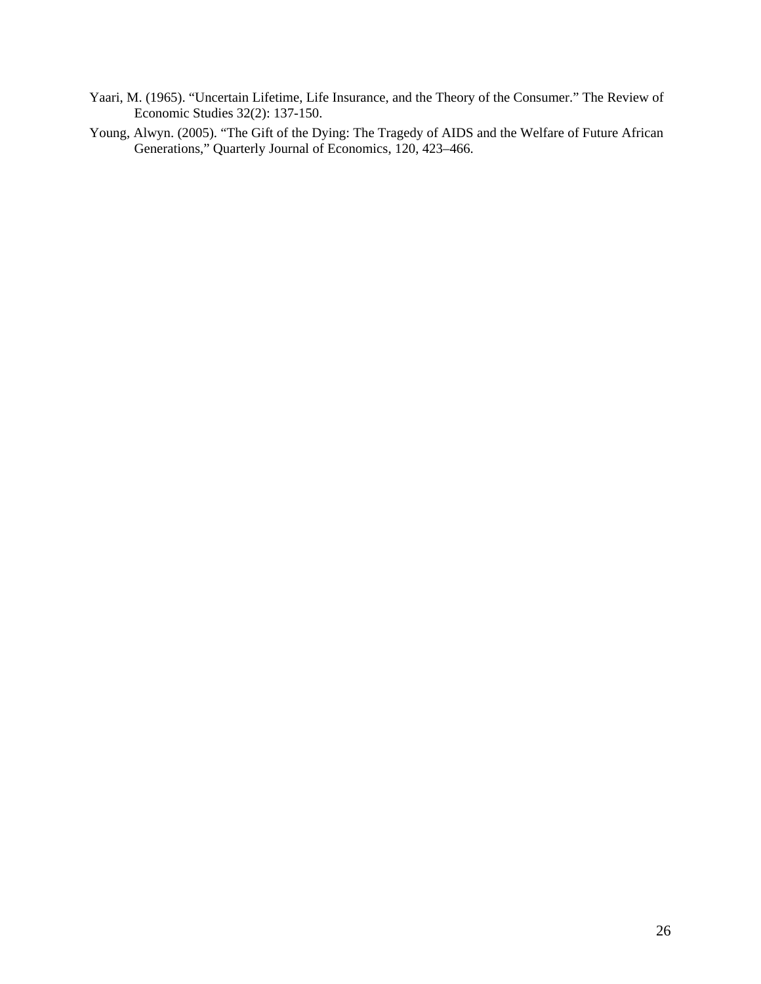- Yaari, M. (1965). "Uncertain Lifetime, Life Insurance, and the Theory of the Consumer." The Review of Economic Studies 32(2): 137-150.
- Young, Alwyn. (2005). "The Gift of the Dying: The Tragedy of AIDS and the Welfare of Future African Generations," Quarterly Journal of Economics, 120, 423–466.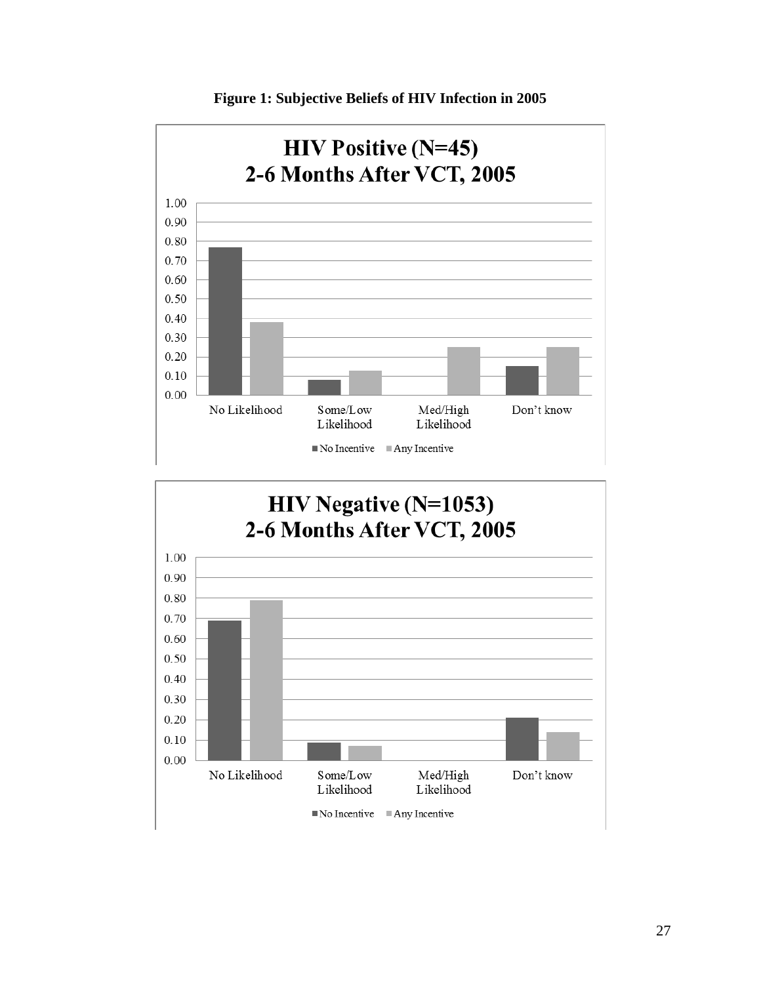



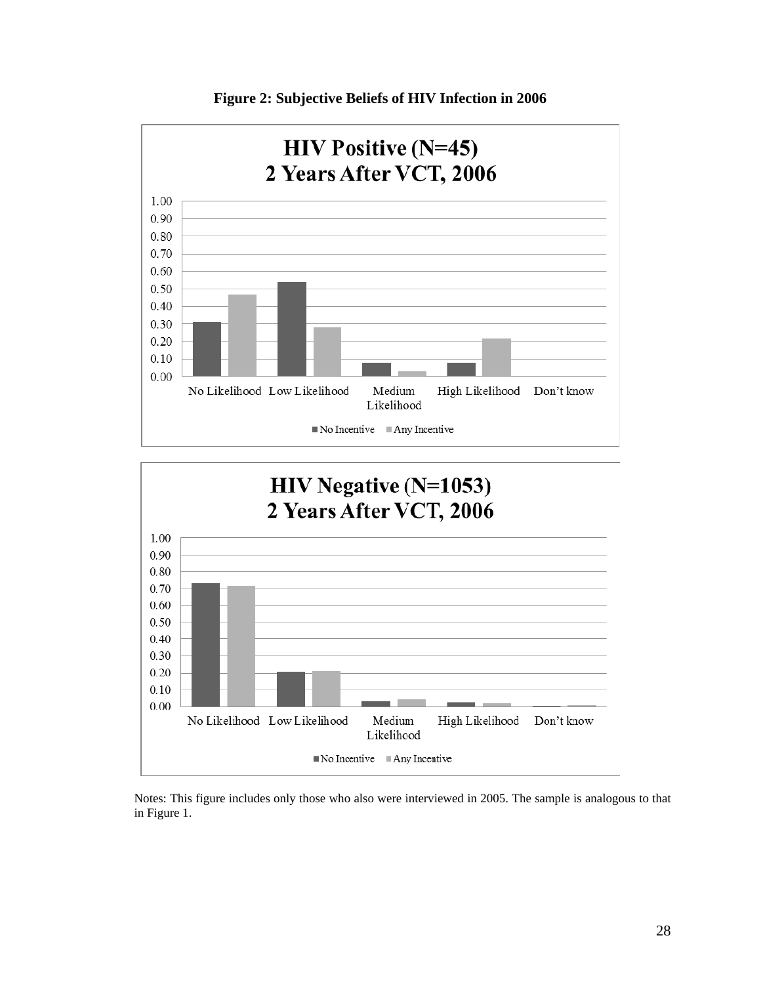

**Figure 2: Subjective Beliefs of HIV Infection in 2006** 



Notes: This figure includes only those who also were interviewed in 2005. The sample is analogous to that in Figure 1.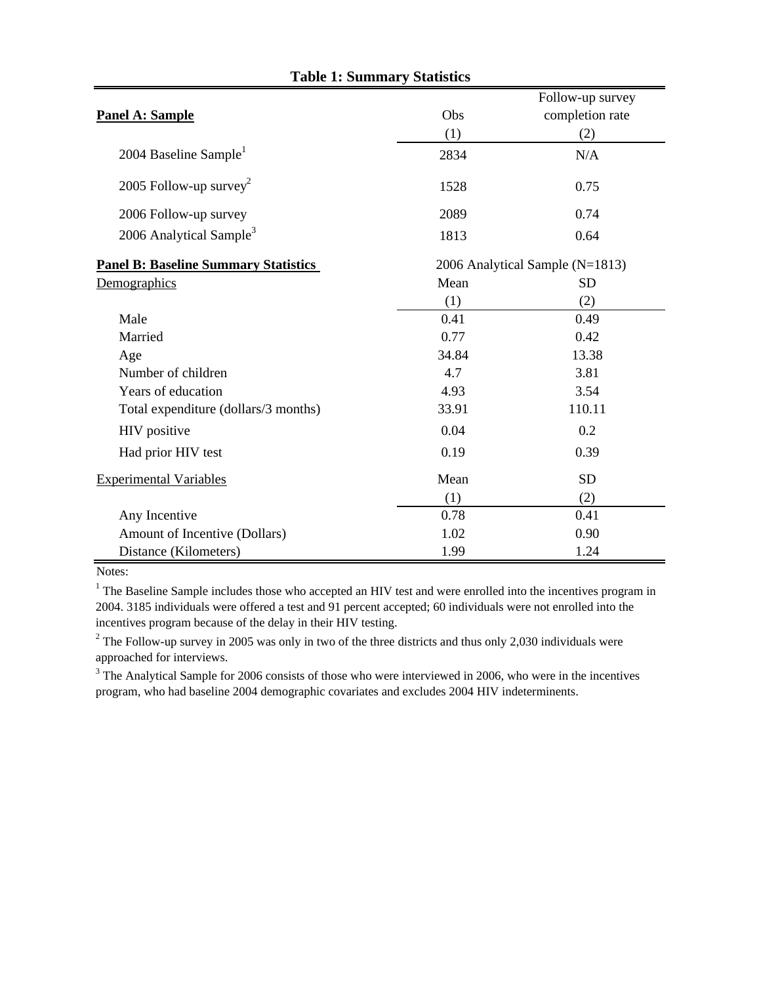|                                             |       | Follow-up survey                |
|---------------------------------------------|-------|---------------------------------|
| <b>Panel A: Sample</b>                      | Obs   | completion rate                 |
|                                             | (1)   | (2)                             |
| 2004 Baseline Sample <sup>1</sup>           | 2834  | N/A                             |
| 2005 Follow-up survey <sup>2</sup>          | 1528  | 0.75                            |
| 2006 Follow-up survey                       | 2089  | 0.74                            |
| 2006 Analytical Sample <sup>3</sup>         | 1813  | 0.64                            |
| <b>Panel B: Baseline Summary Statistics</b> |       | 2006 Analytical Sample (N=1813) |
| Demographics                                | Mean  | <b>SD</b>                       |
|                                             | (1)   | (2)                             |
| Male                                        | 0.41  | 0.49                            |
| Married                                     | 0.77  | 0.42                            |
| Age                                         | 34.84 | 13.38                           |
| Number of children                          | 4.7   | 3.81                            |
| Years of education                          | 4.93  | 3.54                            |
| Total expenditure (dollars/3 months)        | 33.91 | 110.11                          |
| HIV positive                                | 0.04  | 0.2                             |
| Had prior HIV test                          | 0.19  | 0.39                            |
| <b>Experimental Variables</b>               | Mean  | <b>SD</b>                       |
|                                             | (1)   | (2)                             |
| Any Incentive                               | 0.78  | 0.41                            |
| Amount of Incentive (Dollars)               | 1.02  | 0.90                            |
| Distance (Kilometers)                       | 1.99  | 1.24                            |

# **Table 1: Summary Statistics**

Notes:

<sup>1</sup> The Baseline Sample includes those who accepted an HIV test and were enrolled into the incentives program in 2004. 3185 individuals were offered a test and 91 percent accepted; 60 individuals were not enrolled into the incentives program because of the delay in their HIV testing.

<sup>2</sup> The Follow-up survey in 2005 was only in two of the three districts and thus only 2,030 individuals were approached for interviews.

 $3$  The Analytical Sample for 2006 consists of those who were interviewed in 2006, who were in the incentives program, who had baseline 2004 demographic covariates and excludes 2004 HIV indeterminents.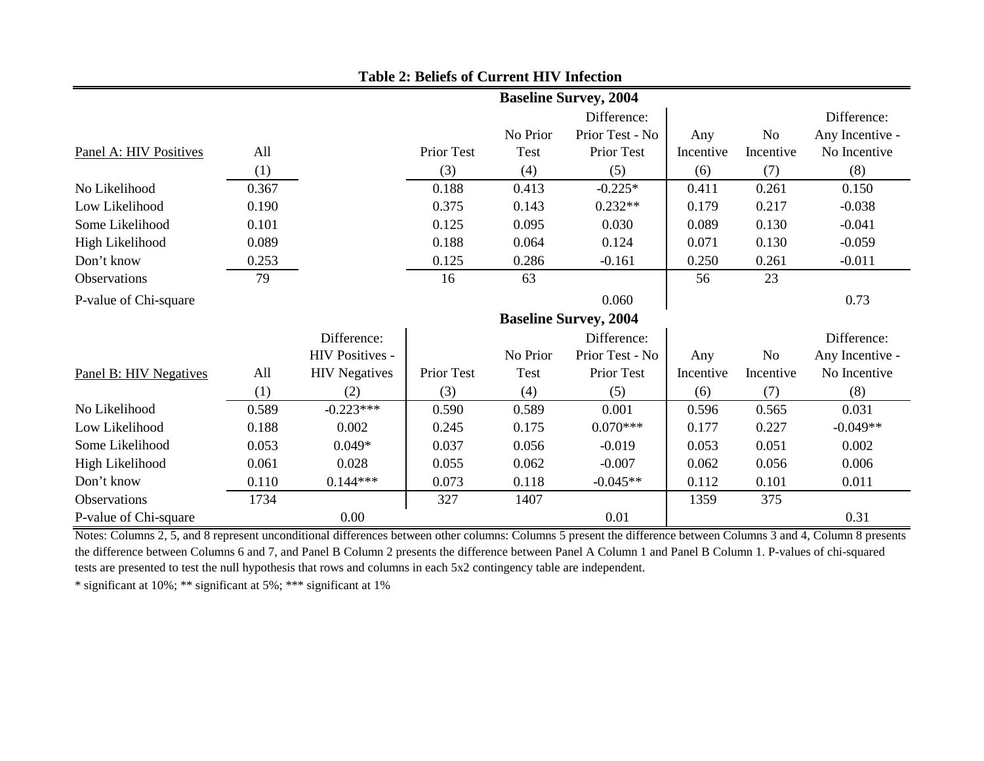|                        |       |                        |            |          | <b>Baseline Survey, 2004</b> |           |           |                 |
|------------------------|-------|------------------------|------------|----------|------------------------------|-----------|-----------|-----------------|
|                        |       |                        |            |          | Difference:                  |           |           | Difference:     |
|                        |       |                        |            | No Prior | Prior Test - No              | Any       | No        | Any Incentive - |
| Panel A: HIV Positives | All   |                        | Prior Test | Test     | <b>Prior Test</b>            | Incentive | Incentive | No Incentive    |
|                        | (1)   |                        | (3)        | (4)      | (5)                          | (6)       | (7)       | (8)             |
| No Likelihood          | 0.367 |                        | 0.188      | 0.413    | $-0.225*$                    | 0.411     | 0.261     | 0.150           |
| Low Likelihood         | 0.190 |                        | 0.375      | 0.143    | $0.232**$                    | 0.179     | 0.217     | $-0.038$        |
| Some Likelihood        | 0.101 |                        | 0.125      | 0.095    | 0.030                        | 0.089     | 0.130     | $-0.041$        |
| High Likelihood        | 0.089 |                        | 0.188      | 0.064    | 0.124                        | 0.071     | 0.130     | $-0.059$        |
| Don't know             | 0.253 |                        | 0.125      | 0.286    | $-0.161$                     | 0.250     | 0.261     | $-0.011$        |
| Observations           | 79    |                        | 16         | 63       |                              | 56        | 23        |                 |
| P-value of Chi-square  |       |                        |            |          | 0.060                        |           |           | 0.73            |
|                        |       |                        |            |          | <b>Baseline Survey, 2004</b> |           |           |                 |
|                        |       | Difference:            |            |          | Difference:                  |           |           | Difference:     |
|                        |       | <b>HIV Positives -</b> |            | No Prior | Prior Test - No              | Any       | No        | Any Incentive - |
| Panel B: HIV Negatives | All   | <b>HIV</b> Negatives   | Prior Test | Test     | Prior Test                   | Incentive | Incentive | No Incentive    |
|                        | (1)   | (2)                    | (3)        | (4)      | (5)                          | (6)       | (7)       | (8)             |
| No Likelihood          | 0.589 | $-0.223***$            | 0.590      | 0.589    | 0.001                        | 0.596     | 0.565     | 0.031           |
| Low Likelihood         | 0.188 | 0.002                  | 0.245      | 0.175    | $0.070***$                   | 0.177     | 0.227     | $-0.049**$      |
| Some Likelihood        | 0.053 | $0.049*$               | 0.037      | 0.056    | $-0.019$                     | 0.053     | 0.051     | 0.002           |
| High Likelihood        | 0.061 | 0.028                  | 0.055      | 0.062    | $-0.007$                     | 0.062     | 0.056     | 0.006           |
| Don't know             | 0.110 | $0.144***$             | 0.073      | 0.118    | $-0.045**$                   | 0.112     | 0.101     | 0.011           |
| <b>Observations</b>    | 1734  |                        | 327        | 1407     |                              | 1359      | 375       |                 |
| P-value of Chi-square  |       | 0.00                   |            |          | 0.01                         |           |           | 0.31            |

### **Table 2: Beliefs of Current HIV Infection**

Notes: Columns 2, 5, and 8 represent unconditional differences between other columns: Columns 5 present the difference between Columns 3 and 4, Column 8 presents the difference between Columns 6 and 7, and Panel B Column 2 presents the difference between Panel A Column 1 and Panel B Column 1. P-values of chi-squared tests are presented to test the null hypothesis that rows and columns in each 5x2 contingency table are independent.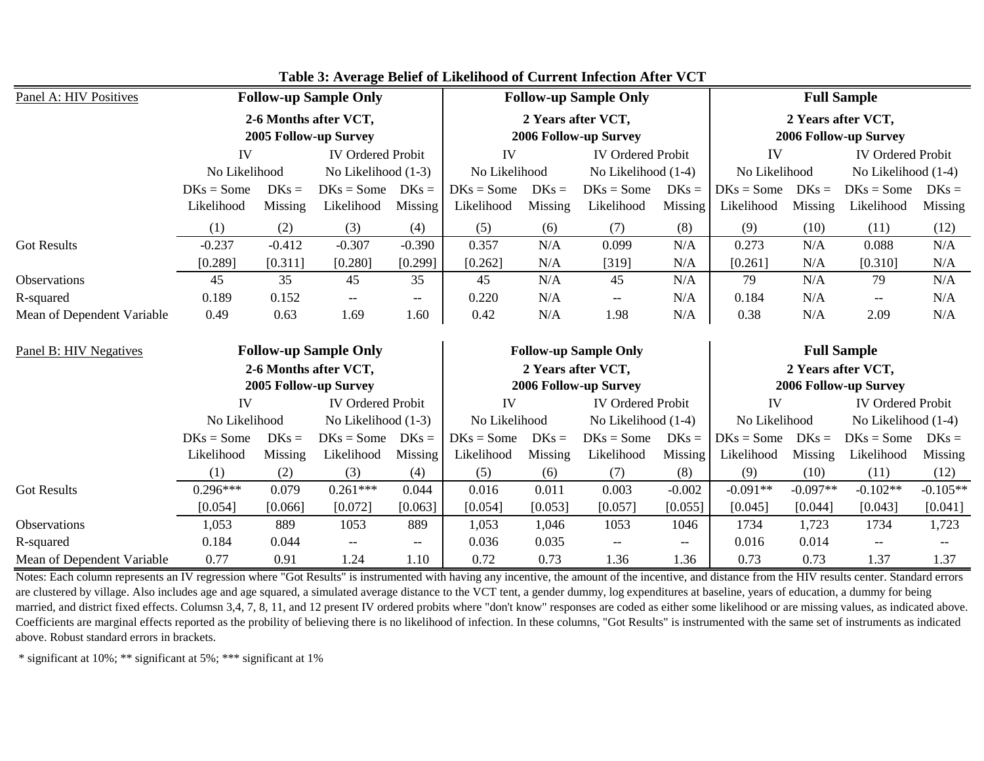| Panel A: HIV Positives     | <b>Follow-up Sample Only</b> |                |                                                |          |               | <b>Follow-up Sample Only</b>                |                          |           |               | <b>Full Sample</b>                          |                                             |            |  |
|----------------------------|------------------------------|----------------|------------------------------------------------|----------|---------------|---------------------------------------------|--------------------------|-----------|---------------|---------------------------------------------|---------------------------------------------|------------|--|
|                            |                              |                | 2-6 Months after VCT,<br>2005 Follow-up Survey |          |               | 2 Years after VCT,                          | 2006 Follow-up Survey    |           |               |                                             | 2 Years after VCT,<br>2006 Follow-up Survey |            |  |
|                            | IV                           |                | <b>IV Ordered Probit</b>                       |          | IV            | <b>IV Ordered Probit</b>                    |                          |           | IV            | <b>IV Ordered Probit</b>                    |                                             |            |  |
|                            | No Likelihood                |                | No Likelihood (1-3)                            |          |               | No Likelihood<br>No Likelihood (1-4)        |                          |           | No Likelihood |                                             | No Likelihood (1-4)                         |            |  |
|                            | $DKs = Some$                 | $DKs =$        | $DKs = Some$ $DKs =$                           |          | $DKs = Some$  | $DKs =$                                     | $DKs = Some$             | $DKs =$   | $DKs = Some$  | $DKs =$                                     | $DKs = Some$                                | $DKs =$    |  |
|                            | Likelihood                   | <b>Missing</b> | Likelihood                                     | Missing  | Likelihood    | Missing                                     | Likelihood               | Missing   | Likelihood    | Missing                                     | Likelihood                                  | Missing    |  |
|                            | (1)                          | (2)            | (3)                                            | (4)      | (5)           | (6)                                         | (7)                      | (8)       | (9)           | (10)                                        | (11)                                        | (12)       |  |
| <b>Got Results</b>         | $-0.237$                     | $-0.412$       | $-0.307$                                       | $-0.390$ | 0.357         | N/A                                         | 0.099                    | N/A       | 0.273         | N/A                                         | 0.088                                       | N/A        |  |
|                            | [0.289]                      | [0.311]        | [0.280]                                        | [0.299]  | [0.262]       | N/A                                         | [319]                    | N/A       | [0.261]       | N/A                                         | [0.310]                                     | N/A        |  |
| <b>Observations</b>        | 45                           | 35             | 45                                             | 35       | 45            | N/A                                         | 45                       | N/A       | 79            | N/A                                         | 79                                          | N/A        |  |
| R-squared                  | 0.189                        | 0.152          | $--$                                           | $--$     | 0.220         | N/A                                         | $\overline{\phantom{a}}$ | N/A       | 0.184         | N/A                                         | $- -$                                       | N/A        |  |
| Mean of Dependent Variable | 0.49                         | 0.63           | 1.69                                           | 1.60     | 0.42          | N/A                                         | 1.98                     | $\rm N/A$ | 0.38          | N/A                                         | 2.09                                        | N/A        |  |
| Panel B: HIV Negatives     |                              |                | <b>Follow-up Sample Only</b>                   |          |               | <b>Follow-up Sample Only</b>                |                          |           |               | <b>Full Sample</b>                          |                                             |            |  |
|                            |                              |                | 2-6 Months after VCT,<br>2005 Follow-up Survey |          |               | 2 Years after VCT,<br>2006 Follow-up Survey |                          |           |               | 2 Years after VCT,<br>2006 Follow-up Survey |                                             |            |  |
|                            | IV                           |                | <b>IV Ordered Probit</b>                       |          | IV            |                                             | <b>IV Ordered Probit</b> |           | IV            |                                             | <b>IV Ordered Probit</b>                    |            |  |
|                            | No Likelihood                |                | No Likelihood (1-3)                            |          | No Likelihood |                                             | No Likelihood (1-4)      |           | No Likelihood |                                             | No Likelihood (1-4)                         |            |  |
|                            | $DKs = Some$                 | $DKs =$        | $DKs = Some$                                   | $DKs =$  | $DKs = Some$  | $DKs =$                                     | $DKs = Some$             | $DKs =$   | $DKs = Some$  | $DKs =$                                     | $DKs = Some$                                | $DKs =$    |  |
|                            | Likelihood                   | Missing        | Likelihood                                     | Missing  | Likelihood    | Missing                                     | Likelihood               | Missing   | Likelihood    | Missing                                     | Likelihood                                  | Missing    |  |
|                            | (1)                          | (2)            | (3)                                            | (4)      | (5)           | (6)                                         | (7)                      | (8)       | (9)           | (10)                                        | (11)                                        | (12)       |  |
| <b>Got Results</b>         | $0.296***$                   | 0.079          | $0.261***$                                     | 0.044    | 0.016         | 0.011                                       | 0.003                    | $-0.002$  | $-0.091**$    | $-0.097**$                                  | $-0.102**$                                  | $-0.105**$ |  |
|                            | [0.054]                      | [0.066]        | [0.072]                                        | [0.063]  | [0.054]       | [0.053]                                     | [0.057]                  | [0.055]   | [0.045]       | [0.044]                                     | [0.043]                                     | [0.041]    |  |
| <b>Observations</b>        | 1,053                        | 889            | 1053                                           | 889      | 1,053         | 1,046                                       | 1053                     | 1046      | 1734          | 1,723                                       | 1734                                        | 1,723      |  |
| R-squared                  | 0.184                        | 0.044          | $- -$                                          | $- -$    | 0.036         | 0.035                                       | $--$                     | --        | 0.016         | 0.014                                       | $-$                                         |            |  |
| Mean of Dependent Variable | 0.77                         | 0.91           | 1.24                                           | 1.10     | 0.72          | 0.73                                        | 1.36                     | 1.36      | 0.73          | 0.73                                        | 1.37                                        | 1.37       |  |

**Table 3: Average Belief of Likelihood of Current Infection After VCT**

Notes: Each column represents an IV regression where "Got Results" is instrumented with having any incentive, the amount of the incentive, and distance from the HIV results center. Standard errors are clustered by village. Also includes age and age squared, a simulated average distance to the VCT tent, a gender dummy, log expenditures at baseline, years of education, a dummy for being married, and district fixed effects. Columsn 3,4, 7, 8, 11, and 12 present IV ordered probits where "don't know" responses are coded as either some likelihood or are missing values, as indicated above. Coefficients are marginal effects reported as the probility of believing there is no likelihood of infection. In these columns, "Got Results" is instrumented with the same set of instruments as indicated above. Robust standard errors in brackets.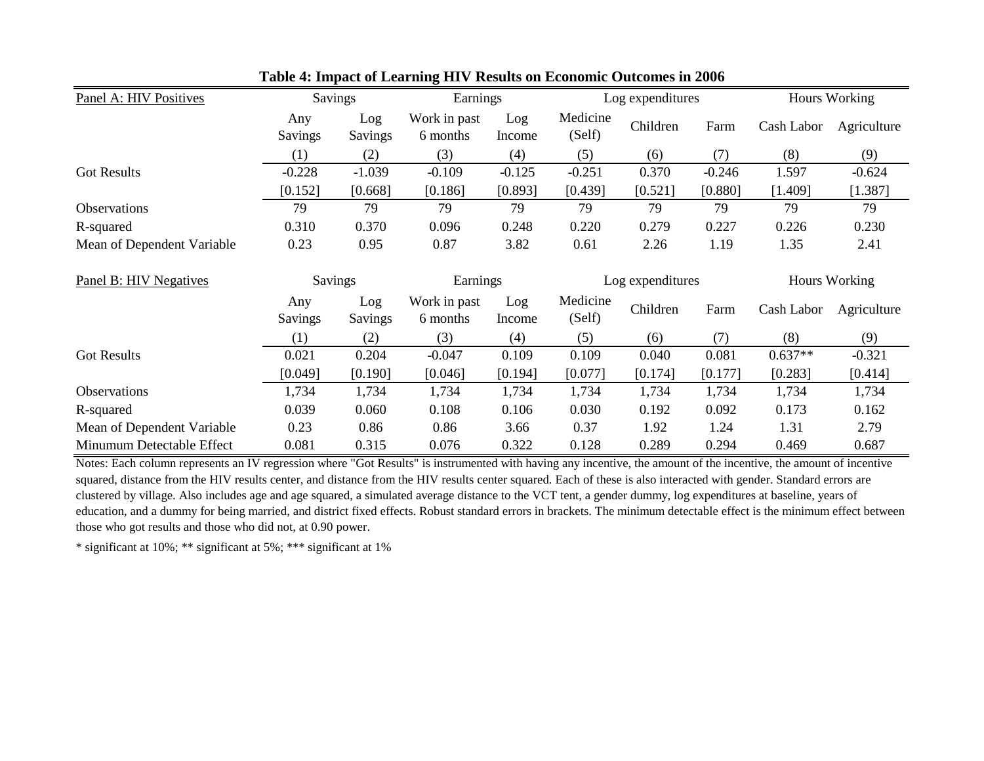| Panel A: HIV Positives     |                  | Savings        | Earnings                 |               |                    | Log expenditures |          | Hours Working |               |  |
|----------------------------|------------------|----------------|--------------------------|---------------|--------------------|------------------|----------|---------------|---------------|--|
|                            | Any<br>Savings   | Log<br>Savings | Work in past<br>6 months | Log<br>Income | Medicine<br>(Self) | Children         | Farm     | Cash Labor    | Agriculture   |  |
|                            | (1)              | (2)            | (3)                      | (4)           | (5)                | (6)              | (7)      | (8)           | (9)           |  |
| <b>Got Results</b>         | $-0.228$         | $-1.039$       | $-0.109$                 | $-0.125$      | $-0.251$           | 0.370            | $-0.246$ | 1.597         | $-0.624$      |  |
|                            | [0.152]          | [0.668]        | [0.186]                  | [0.893]       | [0.439]            | [0.521]          | [0.880]  | [1.409]       | [1.387]       |  |
| Observations               | 79               | 79             | 79                       | 79            | 79                 | 79               | 79       | 79            | 79            |  |
| R-squared                  | 0.310            | 0.370          | 0.096                    | 0.248         | 0.220              | 0.279            | 0.227    | 0.226         | 0.230         |  |
| Mean of Dependent Variable | 0.23             | 0.95           | 0.87                     | 3.82          | 0.61               | 2.26             | 1.19     | 1.35          | 2.41          |  |
| Panel B: HIV Negatives     |                  | Savings        | Earnings                 |               |                    | Log expenditures |          |               | Hours Working |  |
|                            | Any<br>Savings   | Log<br>Savings | Work in past<br>6 months | Log<br>Income | Medicine<br>(Self) | Children         | Farm     | Cash Labor    | Agriculture   |  |
|                            | $\left(1\right)$ | (2)            | (3)                      | (4)           | (5)                | (6)              | (7)      | (8)           | (9)           |  |
| <b>Got Results</b>         | 0.021            | 0.204          | $-0.047$                 | 0.109         | 0.109              | 0.040            | 0.081    | $0.637**$     | $-0.321$      |  |
|                            | [0.049]          | [0.190]        | [0.046]                  | [0.194]       | [0.077]            | [0.174]          | [0.177]  | [0.283]       | [0.414]       |  |
| Observations               | 1,734            | 1,734          | 1,734                    | 1,734         | 1,734              | 1,734            | 1,734    | 1,734         | 1,734         |  |
| R-squared                  | 0.039            | 0.060          | 0.108                    | 0.106         | 0.030              | 0.192            | 0.092    | 0.173         | 0.162         |  |
| Mean of Dependent Variable | 0.23             | 0.86           | 0.86                     | 3.66          | 0.37               | 1.92             | 1.24     | 1.31          | 2.79          |  |
|                            |                  |                |                          |               |                    |                  |          |               |               |  |

**Table 4: Impact of Learning HIV Results on Economic Outcomes in 2006**

Notes: Each column represents an IV regression where "Got Results" is instrumented with having any incentive, the amount of the incentive, the amount of incentive squared, distance from the HIV results center, and distance from the HIV results center squared. Each of these is also interacted with gender. Standard errors are clustered by village. Also includes age and age squared, a simulated average distance to the VCT tent, a gender dummy, log expenditures at baseline, years of education, and a dummy for being married, and district fixed effects. Robust standard errors in brackets. The minimum detectable effect is the minimum effect between those who got results and those who did not, at 0.90 power.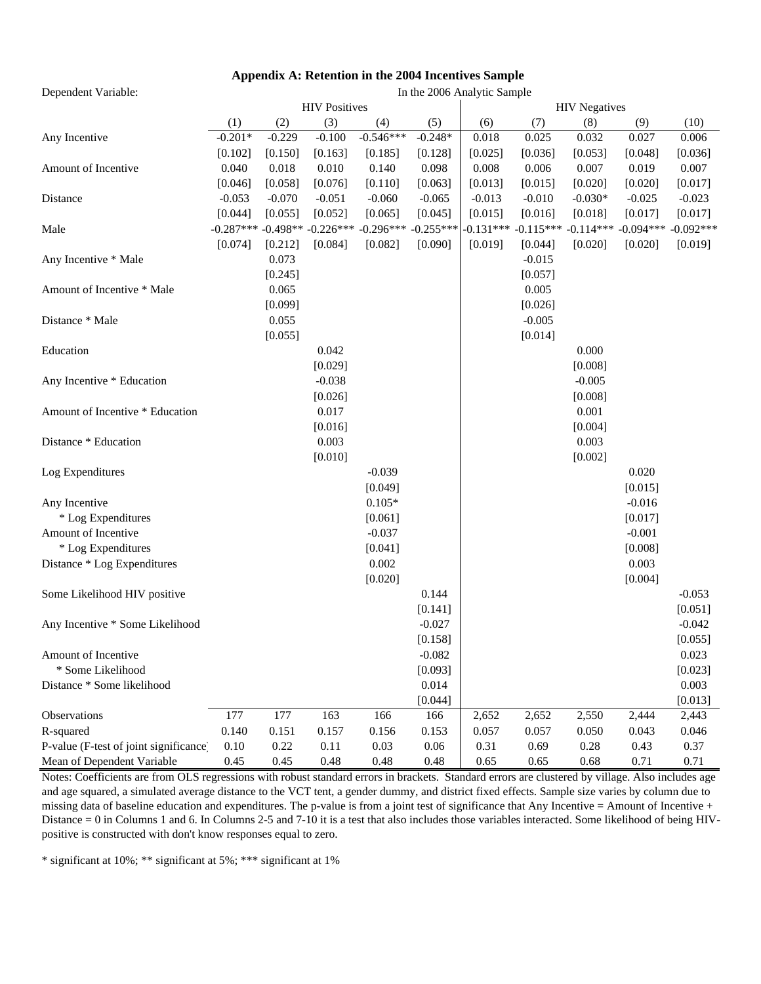# **Appendix A: Retention in the 2004 Incentives Sample**

In the 2006 Analytic Sample

Dependent Variable:

|                                        |           |          | <b>HIV Positives</b>               |             |             |             |             | <b>HIV</b> Negatives |             |             |
|----------------------------------------|-----------|----------|------------------------------------|-------------|-------------|-------------|-------------|----------------------|-------------|-------------|
|                                        | (1)       | (2)      | (3)                                | (4)         | (5)         | (6)         | (7)         | (8)                  | (9)         | (10)        |
| Any Incentive                          | $-0.201*$ | $-0.229$ | $-0.100$                           | $-0.546***$ | $-0.248*$   | 0.018       | 0.025       | 0.032                | 0.027       | 0.006       |
|                                        | [0.102]   | [0.150]  | [0.163]                            | [0.185]     | [0.128]     | [0.025]     | [0.036]     | [0.053]              | [0.048]     | [0.036]     |
| Amount of Incentive                    | 0.040     | 0.018    | 0.010                              | 0.140       | 0.098       | 0.008       | 0.006       | 0.007                | 0.019       | 0.007       |
|                                        | [0.046]   | [0.058]  | [0.076]                            | [0.110]     | [0.063]     | [0.013]     | [0.015]     | [0.020]              | [0.020]     | [0.017]     |
| Distance                               | $-0.053$  | $-0.070$ | $-0.051$                           | $-0.060$    | $-0.065$    | $-0.013$    | $-0.010$    | $-0.030*$            | $-0.025$    | $-0.023$    |
|                                        | [0.044]   | [0.055]  | [0.052]                            | [0.065]     | [0.045]     | [0.015]     | [0.016]     | [0.018]              | [0.017]     | [0.017]     |
| Male                                   |           |          | $-0.287***$ $-0.498**$ $-0.226***$ | $-0.296***$ | $-0.255***$ | $-0.131***$ | $-0.115***$ | $-0.114***$          | $-0.094***$ | $-0.092***$ |
|                                        | [0.074]   | [0.212]  | [0.084]                            | [0.082]     | [0.090]     | [0.019]     | [0.044]     | [0.020]              | [0.020]     | [0.019]     |
| Any Incentive * Male                   |           | 0.073    |                                    |             |             |             | $-0.015$    |                      |             |             |
|                                        |           | [0.245]  |                                    |             |             |             | [0.057]     |                      |             |             |
| Amount of Incentive * Male             |           | 0.065    |                                    |             |             |             | 0.005       |                      |             |             |
|                                        |           | [0.099]  |                                    |             |             |             | [0.026]     |                      |             |             |
| Distance * Male                        |           | 0.055    |                                    |             |             |             | $-0.005$    |                      |             |             |
|                                        |           | [0.055]  |                                    |             |             |             | [0.014]     |                      |             |             |
| Education                              |           |          | 0.042                              |             |             |             |             | 0.000                |             |             |
|                                        |           |          | [0.029]                            |             |             |             |             | [0.008]              |             |             |
| Any Incentive * Education              |           |          | $-0.038$                           |             |             |             |             | $-0.005$             |             |             |
|                                        |           |          | [0.026]                            |             |             |             |             | [0.008]              |             |             |
| Amount of Incentive * Education        |           |          | 0.017                              |             |             |             |             | 0.001                |             |             |
|                                        |           |          | [0.016]                            |             |             |             |             | [0.004]              |             |             |
| Distance * Education                   |           |          | 0.003                              |             |             |             |             | 0.003                |             |             |
|                                        |           |          | [0.010]                            |             |             |             |             | [0.002]              |             |             |
| Log Expenditures                       |           |          |                                    | $-0.039$    |             |             |             |                      | 0.020       |             |
|                                        |           |          |                                    | [0.049]     |             |             |             |                      | [0.015]     |             |
| Any Incentive                          |           |          |                                    | $0.105*$    |             |             |             |                      | $-0.016$    |             |
| * Log Expenditures                     |           |          |                                    | [0.061]     |             |             |             |                      | [0.017]     |             |
| Amount of Incentive                    |           |          |                                    | $-0.037$    |             |             |             |                      | $-0.001$    |             |
| * Log Expenditures                     |           |          |                                    | [0.041]     |             |             |             |                      | [0.008]     |             |
| Distance * Log Expenditures            |           |          |                                    | 0.002       |             |             |             |                      | 0.003       |             |
|                                        |           |          |                                    | [0.020]     |             |             |             |                      | [0.004]     |             |
| Some Likelihood HIV positive           |           |          |                                    |             | 0.144       |             |             |                      |             | $-0.053$    |
|                                        |           |          |                                    |             | [0.141]     |             |             |                      |             | [0.051]     |
| Any Incentive * Some Likelihood        |           |          |                                    |             | $-0.027$    |             |             |                      |             | $-0.042$    |
|                                        |           |          |                                    |             | [0.158]     |             |             |                      |             | [0.055]     |
| Amount of Incentive                    |           |          |                                    |             | $-0.082$    |             |             |                      |             | 0.023       |
| * Some Likelihood                      |           |          |                                    |             | [0.093]     |             |             |                      |             | [0.023]     |
| Distance * Some likelihood             |           |          |                                    |             | 0.014       |             |             |                      |             | 0.003       |
|                                        |           |          |                                    |             | [0.044]     |             |             |                      |             | [0.013]     |
| Observations                           | 177       | 177      | 163                                | 166         | 166         | 2,652       | 2,652       | 2,550                | 2,444       | 2,443       |
| R-squared                              | 0.140     | 0.151    | 0.157                              | 0.156       | 0.153       | 0.057       | 0.057       | 0.050                | 0.043       | 0.046       |
| P-value (F-test of joint significance) | 0.10      | 0.22     | 0.11                               | 0.03        | 0.06        | 0.31        | 0.69        | 0.28                 | 0.43        | 0.37        |
| Mean of Dependent Variable             | 0.45      | 0.45     | 0.48                               | 0.48        | 0.48        | 0.65        | 0.65        | 0.68                 | 0.71        | 0.71        |

Notes: Coefficients are from OLS regressions with robust standard errors in brackets. Standard errors are clustered by village. Also includes age and age squared, a simulated average distance to the VCT tent, a gender dummy, and district fixed effects. Sample size varies by column due to missing data of baseline education and expenditures. The p-value is from a joint test of significance that Any Incentive = Amount of Incentive + Distance = 0 in Columns 1 and 6. In Columns 2-5 and 7-10 it is a test that also includes those variables interacted. Some likelihood of being HIVpositive is constructed with don't know responses equal to zero.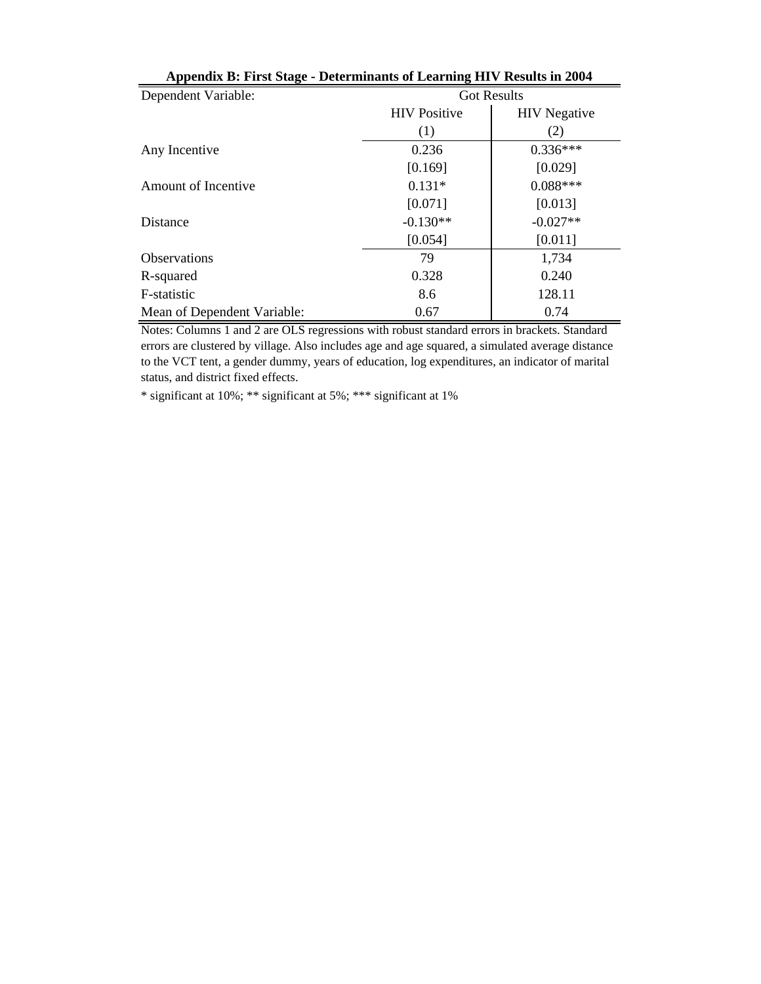| Dependent Variable:         |                     | <b>Got Results</b>  |
|-----------------------------|---------------------|---------------------|
|                             | <b>HIV Positive</b> | <b>HIV</b> Negative |
|                             | (1)                 | (2)                 |
| Any Incentive               | 0.236               | $0.336***$          |
|                             | [0.169]             | [0.029]             |
| Amount of Incentive         | $0.131*$            | $0.088***$          |
|                             | [0.071]             | [0.013]             |
| Distance                    | $-0.130**$          | $-0.027**$          |
|                             | [0.054]             | [0.011]             |
| <b>Observations</b>         | 79                  | 1,734               |
| R-squared                   | 0.328               | 0.240               |
| F-statistic                 | 8.6                 | 128.11              |
| Mean of Dependent Variable: | 0.67                | 0.74                |

**Appendix B: First Stage - Determinants of Learning HIV Results in 2004**

Notes: Columns 1 and 2 are OLS regressions with robust standard errors in brackets. Standard errors are clustered by village. Also includes age and age squared, a simulated average distance to the VCT tent, a gender dummy, years of education, log expenditures, an indicator of marital status, and district fixed effects.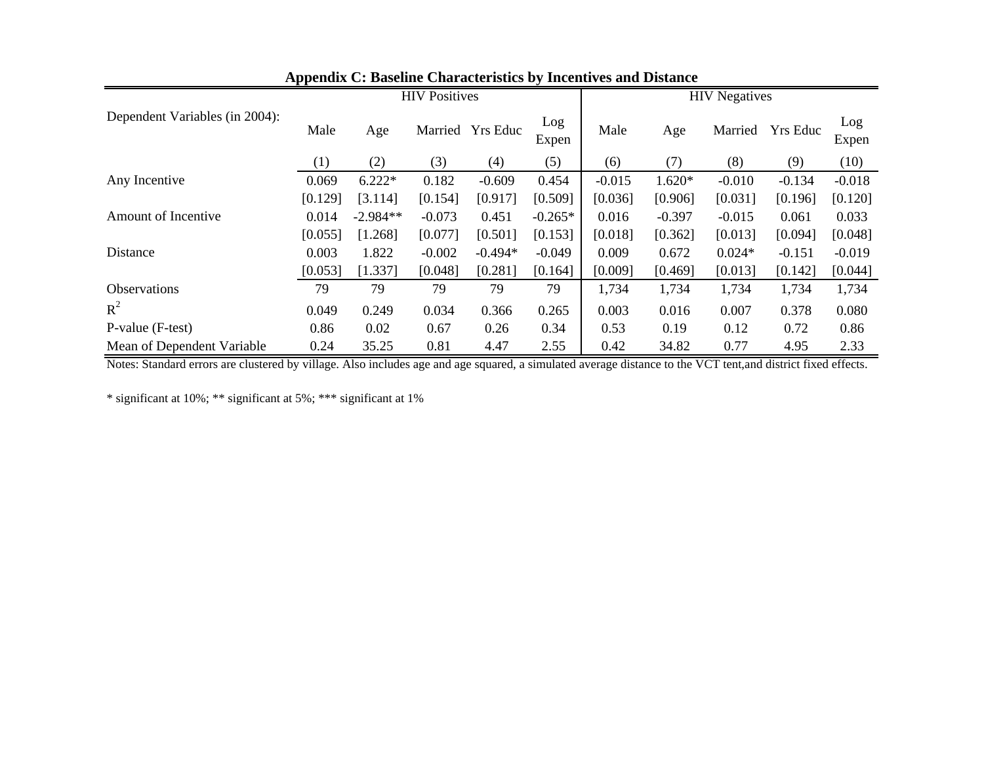|                                |         |            | <b>HIV Positives</b> |                  |              | <b>HIV</b> Negatives |          |          |                 |              |
|--------------------------------|---------|------------|----------------------|------------------|--------------|----------------------|----------|----------|-----------------|--------------|
| Dependent Variables (in 2004): | Male    | Age        |                      | Married Yrs Educ | Log<br>Expen | Male                 | Age      | Married  | <b>Yrs Educ</b> | Log<br>Expen |
|                                | (1)     | (2)        | (3)                  | (4)              | (5)          | (6)                  | (7)      | (8)      | (9)             | (10)         |
| Any Incentive                  | 0.069   | $6.222*$   | 0.182                | $-0.609$         | 0.454        | $-0.015$             | $1.620*$ | $-0.010$ | $-0.134$        | $-0.018$     |
|                                | [0.129] | [3.114]    | [0.154]              | [0.917]          | [0.509]      | [0.036]              | [0.906]  | [0.031]  | [0.196]         | [0.120]      |
| Amount of Incentive            | 0.014   | $-2.984**$ | $-0.073$             | 0.451            | $-0.265*$    | 0.016                | $-0.397$ | $-0.015$ | 0.061           | 0.033        |
|                                | [0.055] | [1.268]    | [0.077]              | [0.501]          | [0.153]      | [0.018]              | [0.362]  | [0.013]  | [0.094]         | [0.048]      |
| Distance                       | 0.003   | 1.822      | $-0.002$             | $-0.494*$        | $-0.049$     | 0.009                | 0.672    | $0.024*$ | $-0.151$        | $-0.019$     |
|                                | [0.053] | [1.337]    | [0.048]              | [0.281]          | [0.164]      | [0.009]              | [0.469]  | [0.013]  | [0.142]         | [0.044]      |
| <b>Observations</b>            | 79      | 79         | 79                   | 79               | 79           | 1,734                | 1,734    | 1,734    | 1,734           | 1,734        |
| $R^2$                          | 0.049   | 0.249      | 0.034                | 0.366            | 0.265        | 0.003                | 0.016    | 0.007    | 0.378           | 0.080        |
| P-value (F-test)               | 0.86    | 0.02       | 0.67                 | 0.26             | 0.34         | 0.53                 | 0.19     | 0.12     | 0.72            | 0.86         |
| Mean of Dependent Variable     | 0.24    | 35.25      | 0.81                 | 4.47             | 2.55         | 0.42                 | 34.82    | 0.77     | 4.95            | 2.33         |

# **Appendix C: Baseline Characteristics by Incentives and Distance**

Notes: Standard errors are clustered by village. Also includes age and age squared, a simulated average distance to the VCT tent,and district fixed effects.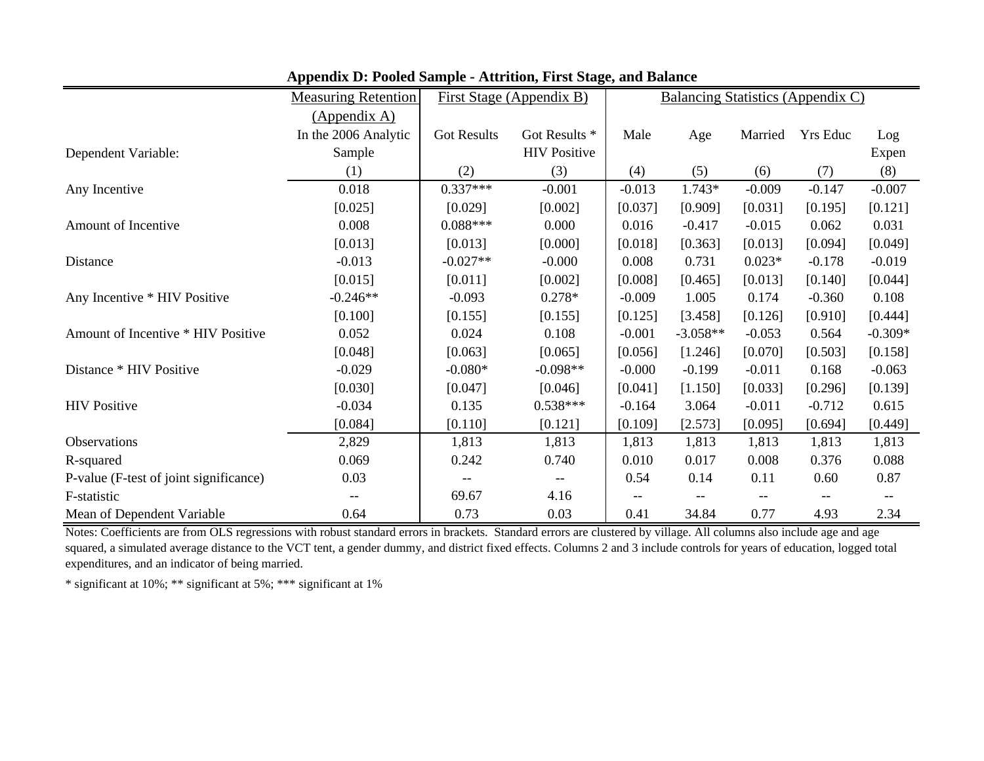|                                        | <b>Measuring Retention</b> |                    | First Stage (Appendix B) | o ,      |            |          | Balancing Statistics (Appendix C) |           |
|----------------------------------------|----------------------------|--------------------|--------------------------|----------|------------|----------|-----------------------------------|-----------|
|                                        | (Appendix A)               |                    |                          |          |            |          |                                   |           |
|                                        | In the 2006 Analytic       | <b>Got Results</b> | Got Results *            | Male     | Age        | Married  | Yrs Educ                          | Log       |
| Dependent Variable:                    | Sample                     |                    | <b>HIV Positive</b>      |          |            |          |                                   | Expen     |
|                                        | (1)                        | (2)                | (3)                      | (4)      | (5)        | (6)      | (7)                               | (8)       |
| Any Incentive                          | 0.018                      | $0.337***$         | $-0.001$                 | $-0.013$ | 1.743*     | $-0.009$ | $-0.147$                          | $-0.007$  |
|                                        | [0.025]                    | [0.029]            | [0.002]                  | [0.037]  | [0.909]    | [0.031]  | [0.195]                           | [0.121]   |
| Amount of Incentive                    | 0.008                      | $0.088***$         | 0.000                    | 0.016    | $-0.417$   | $-0.015$ | 0.062                             | 0.031     |
|                                        | [0.013]                    | [0.013]            | [0.000]                  | [0.018]  | [0.363]    | [0.013]  | [0.094]                           | [0.049]   |
| Distance                               | $-0.013$                   | $-0.027**$         | $-0.000$                 | 0.008    | 0.731      | $0.023*$ | $-0.178$                          | $-0.019$  |
|                                        | [0.015]                    | [0.011]            | [0.002]                  | [0.008]  | [0.465]    | [0.013]  | [0.140]                           | [0.044]   |
| Any Incentive * HIV Positive           | $-0.246**$                 | $-0.093$           | $0.278*$                 | $-0.009$ | 1.005      | 0.174    | $-0.360$                          | 0.108     |
|                                        | [0.100]                    | [0.155]            | [0.155]                  | [0.125]  | [3.458]    | [0.126]  | [0.910]                           | [0.444]   |
| Amount of Incentive * HIV Positive     | 0.052                      | 0.024              | 0.108                    | $-0.001$ | $-3.058**$ | $-0.053$ | 0.564                             | $-0.309*$ |
|                                        | [0.048]                    | [0.063]            | [0.065]                  | [0.056]  | [1.246]    | [0.070]  | [0.503]                           | [0.158]   |
| Distance * HIV Positive                | $-0.029$                   | $-0.080*$          | $-0.098**$               | $-0.000$ | $-0.199$   | $-0.011$ | 0.168                             | $-0.063$  |
|                                        | [0.030]                    | [0.047]            | [0.046]                  | [0.041]  | [1.150]    | [0.033]  | [0.296]                           | [0.139]   |
| <b>HIV</b> Positive                    | $-0.034$                   | 0.135              | $0.538***$               | $-0.164$ | 3.064      | $-0.011$ | $-0.712$                          | 0.615     |
|                                        | [0.084]                    | [0.110]            | [0.121]                  | [0.109]  | [2.573]    | [0.095]  | [0.694]                           | [0.449]   |
| Observations                           | 2,829                      | 1,813              | 1,813                    | 1,813    | 1,813      | 1,813    | 1,813                             | 1,813     |
| R-squared                              | 0.069                      | 0.242              | 0.740                    | 0.010    | 0.017      | 0.008    | 0.376                             | 0.088     |
| P-value (F-test of joint significance) | 0.03                       |                    |                          | 0.54     | 0.14       | 0.11     | 0.60                              | 0.87      |
| F-statistic                            |                            | 69.67              | 4.16                     |          |            |          |                                   |           |
| Mean of Dependent Variable             | 0.64                       | 0.73               | 0.03                     | 0.41     | 34.84      | 0.77     | 4.93                              | 2.34      |

**Appendix D: Pooled Sample - Attrition, First Stage, and Balance**

Notes: Coefficients are from OLS regressions with robust standard errors in brackets. Standard errors are clustered by village. All columns also include age and age squared, a simulated average distance to the VCT tent, a gender dummy, and district fixed effects. Columns 2 and 3 include controls for years of education, logged total expenditures, and an indicator of being married.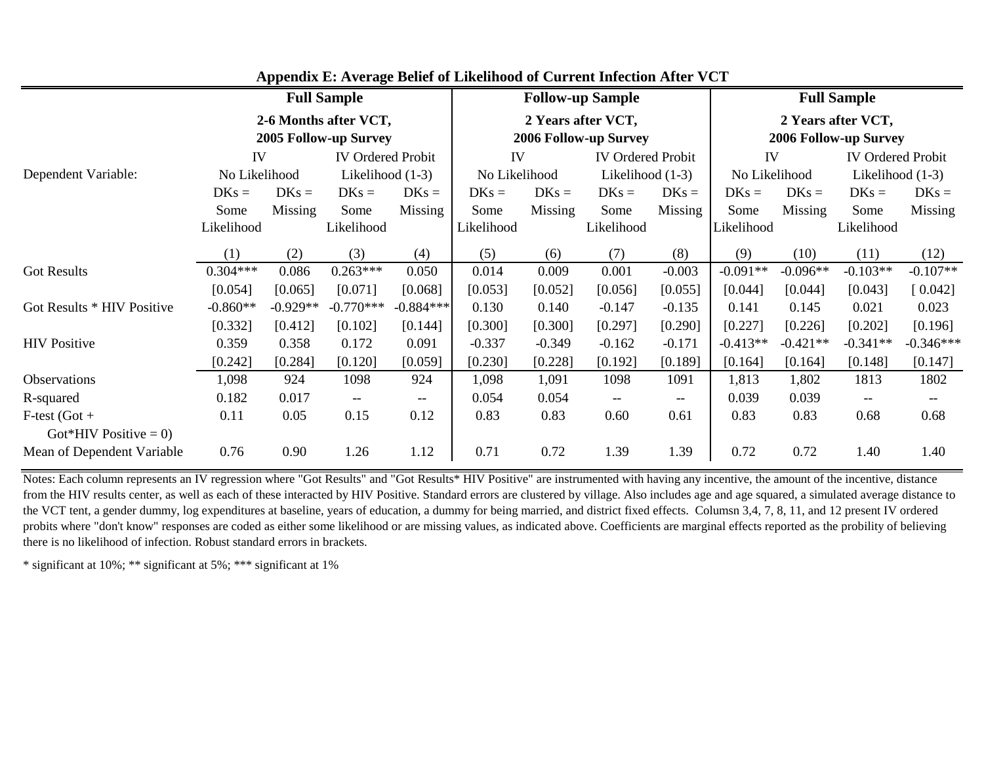|                                          |               |            | <b>Full Sample</b>                             |             | <b>Follow-up Sample</b> |          |                                                     |                                    | <b>Full Sample</b> |                                                    |                          |                                                     |  |
|------------------------------------------|---------------|------------|------------------------------------------------|-------------|-------------------------|----------|-----------------------------------------------------|------------------------------------|--------------------|----------------------------------------------------|--------------------------|-----------------------------------------------------|--|
|                                          |               |            | 2-6 Months after VCT,<br>2005 Follow-up Survey |             |                         |          | 2 Years after VCT,<br><b>2006 Follow-up Survey</b>  |                                    |                    | 2 Years after VCT,<br><b>2006 Follow-up Survey</b> |                          |                                                     |  |
|                                          | IV            |            | <b>IV Ordered Probit</b>                       |             | IV                      |          | <b>IV Ordered Probit</b>                            |                                    | IV                 |                                                    | <b>IV Ordered Probit</b> |                                                     |  |
| Dependent Variable:                      | No Likelihood |            | Likelihood (1-3)                               |             | No Likelihood           |          | Likelihood (1-3)                                    |                                    | No Likelihood      |                                                    | Likelihood (1-3)         |                                                     |  |
|                                          | $DKs =$       | $DKs =$    | $DKs =$                                        | $DKs =$     | $DKs =$                 | $DKs =$  | $DKs =$                                             | $DKs =$                            | $DKs =$            | $DKs =$                                            | $DKs =$                  | $DKs =$                                             |  |
|                                          | Some          | Missing    | Some                                           | Missing     | Some                    | Missing  | Some                                                | Missing                            | Some               | Missing                                            | Some                     | Missing                                             |  |
|                                          | Likelihood    |            | Likelihood                                     |             | Likelihood              |          | Likelihood                                          |                                    | Likelihood         |                                                    | Likelihood               |                                                     |  |
|                                          | (1)           | (2)        | (3)                                            | (4)         | (5)                     | (6)      | (7)                                                 | (8)                                | (9)                | (10)                                               | (11)                     | (12)                                                |  |
| <b>Got Results</b>                       | $0.304***$    | 0.086      | $0.263***$                                     | 0.050       | 0.014                   | 0.009    | 0.001                                               | $-0.003$                           | $-0.091**$         | $-0.096**$                                         | $-0.103**$               | $-0.107**$                                          |  |
|                                          | [0.054]       | [0.065]    | [0.071]                                        | [0.068]     | [0.053]                 | [0.052]  | [0.056]                                             | [0.055]                            | [0.044]            | [0.044]                                            | [0.043]                  | [0.042]                                             |  |
| Got Results * HIV Positive               | $-0.860**$    | $-0.929**$ | $-0.770***$                                    | $-0.884***$ | 0.130                   | 0.140    | $-0.147$                                            | $-0.135$                           | 0.141              | 0.145                                              | 0.021                    | 0.023                                               |  |
|                                          | [0.332]       | [0.412]    | [0.102]                                        | [0.144]     | [0.300]                 | [0.300]  | [0.297]                                             | [0.290]                            | [0.227]            | [0.226]                                            | [0.202]                  | [0.196]                                             |  |
| <b>HIV Positive</b>                      | 0.359         | 0.358      | 0.172                                          | 0.091       | $-0.337$                | $-0.349$ | $-0.162$                                            | $-0.171$                           | $-0.413**$         | $-0.421**$                                         | $-0.341**$               | $-0.346***$                                         |  |
|                                          | [0.242]       | [0.284]    | [0.120]                                        | [0.059]     | [0.230]                 | [0.228]  | [0.192]                                             | [0.189]                            | [0.164]            | [0.164]                                            | [0.148]                  | [0.147]                                             |  |
| Observations                             | 1,098         | 924        | 1098                                           | 924         | 1,098                   | 1,091    | 1098                                                | 1091                               | 1,813              | 1,802                                              | 1813                     | 1802                                                |  |
| R-squared                                | 0.182         | 0.017      | $\hspace{0.05cm} \dashv$                       | $--$        | 0.054                   | 0.054    | $\hspace{0.05cm} -\hspace{0.05cm} -\hspace{0.05cm}$ | $\hspace{0.05cm}--\hspace{0.05cm}$ | 0.039              | 0.039                                              | $--$                     | $\hspace{0.05cm} -\hspace{0.05cm} -\hspace{0.05cm}$ |  |
| $F-test (Got +$<br>Got*HIV Positive = 0) | 0.11          | 0.05       | 0.15                                           | 0.12        | 0.83                    | 0.83     | 0.60                                                | 0.61                               | 0.83               | 0.83                                               | 0.68                     | 0.68                                                |  |
| Mean of Dependent Variable               | 0.76          | 0.90       | 1.26                                           | 1.12        | 0.71                    | 0.72     | 1.39                                                | 1.39                               | 0.72               | 0.72                                               | 1.40                     | 1.40                                                |  |

**Appendix E: Average Belief of Likelihood of Current Infection After VCT**

Notes: Each column represents an IV regression where "Got Results" and "Got Results\* HIV Positive" are instrumented with having any incentive, the amount of the incentive, distance from the HIV results center, as well as each of these interacted by HIV Positive. Standard errors are clustered by village. Also includes age and age squared, a simulated average distance to the VCT tent, a gender dummy, log expenditures at baseline, years of education, a dummy for being married, and district fixed effects. Columsn 3,4, 7, 8, 11, and 12 present IV ordered probits where "don't know" responses are coded as either some likelihood or are missing values, as indicated above. Coefficients are marginal effects reported as the probility of believing there is no likelihood of infection. Robust standard errors in brackets.